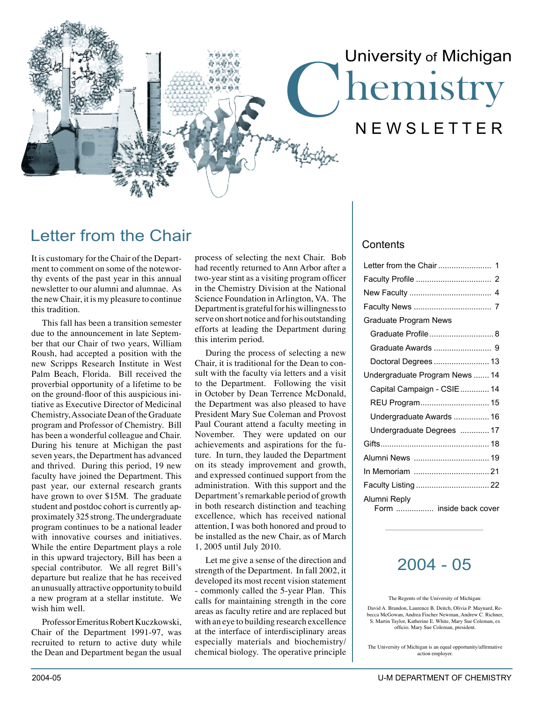# hemistry N E W S L E T T E R University of Michigan

# Letter from the Chair

It is customary for the Chair of the Department to comment on some of the noteworthy events of the past year in this annual newsletter to our alumni and alumnae. As the new Chair, it is my pleasure to continue this tradition.

This fall has been a transition semester due to the announcement in late September that our Chair of two years, William Roush, had accepted a position with the new Scripps Research Institute in West Palm Beach, Florida. Bill received the proverbial opportunity of a lifetime to be on the ground-floor of this auspicious initiative as Executive Director of Medicinal Chemistry, Associate Dean of the Graduate program and Professor of Chemistry. Bill has been a wonderful colleague and Chair. During his tenure at Michigan the past seven years, the Department has advanced and thrived. During this period, 19 new faculty have joined the Department. This past year, our external research grants have grown to over \$15M. The graduate student and postdoc cohort is currently approximately 325 strong. The undergraduate program continues to be a national leader with innovative courses and initiatives. While the entire Department plays a role in this upward trajectory, Bill has been a special contributor. We all regret Bill's departure but realize that he has received an unusually attractive opportunity to build a new program at a stellar institute. We wish him well.

Professor Emeritus Robert Kuczkowski, Chair of the Department 1991-97, was recruited to return to active duty while the Dean and Department began the usual

process of selecting the next Chair. Bob had recently returned to Ann Arbor after a two-year stint as a visiting program officer in the Chemistry Division at the National Science Foundation in Arlington, VA. The Department is grateful for his willingness to serve on short notice and for his outstanding efforts at leading the Department during this interim period.

During the process of selecting a new Chair, it is traditional for the Dean to consult with the faculty via letters and a visit to the Department. Following the visit in October by Dean Terrence McDonald, the Department was also pleased to have President Mary Sue Coleman and Provost Paul Courant attend a faculty meeting in November. They were updated on our achievements and aspirations for the future. In turn, they lauded the Department on its steady improvement and growth, and expressed continued support from the administration. With this support and the Department's remarkable period of growth in both research distinction and teaching excellence, which has received national attention, I was both honored and proud to be installed as the new Chair, as of March 1, 2005 until July 2010.

Let me give a sense of the direction and strength of the Department. In fall 2002, it developed its most recent vision statement - commonly called the 5-year Plan. This calls for maintaining strength in the core areas as faculty retire and are replaced but with an eye to building research excellence at the interface of interdisciplinary areas especially materials and biochemistry/ chemical biology. The operative principle

#### **Contents**

| Graduate Program News                   |
|-----------------------------------------|
| Graduate Profile 8                      |
|                                         |
| Doctoral Degrees  13                    |
| Undergraduate Program News  14          |
| Capital Campaign - CSIE  14             |
|                                         |
| Undergraduate Awards  16                |
| Undergraduate Degrees  17               |
|                                         |
|                                         |
|                                         |
| Faculty Listing  22                     |
| Alumni Reply<br>Form  inside back cover |

### 2004 - 05

The Regents of the University of Michigan:

David A. Brandon, Laurence B. Deitch, Olivia P. Maynard, Rebecca McGowan, Andrea Fischer Newman, Andrew C. Richner, S. Martin Taylor, Katherine E. White, Mary Sue Coleman, ex officio. Mary Sue Coleman, president.

The University of Michigan is an equal opportunity/affirmative action employer.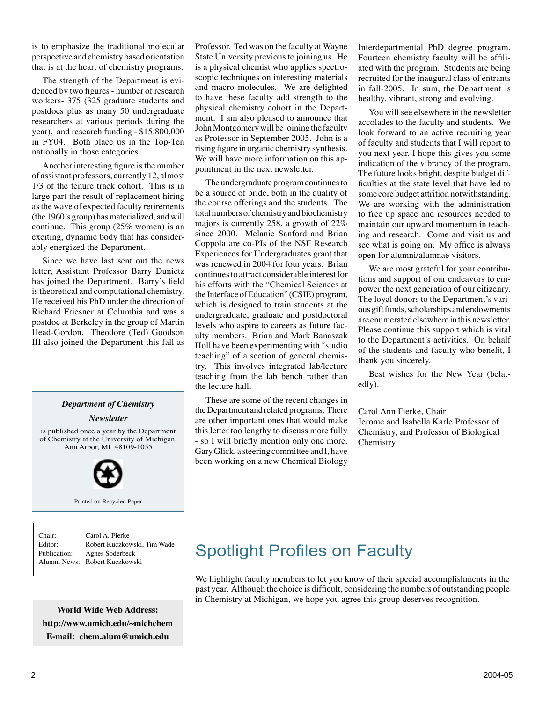is to emphasize the traditional molecular perspective and chemistry based orientation that is at the heart of chemistry programs.

The strength of the Department is evidenced by two figures - number of research workers- 375 (325 graduate students and postdocs plus as many 50 undergraduate researchers at various periods during the year), and research funding - \$15,800,000 in FY04. Both place us in the Top-Ten nationally in those categories.

Another interesting figure is the number of assistant professors, currently 12, almost 1/3 of the tenure track cohort. This is in large part the result of replacement hiring as the wave of expected faculty retirements (the 1960's group) has materialized, and will continue. This group (25% women) is an exciting, dynamic body that has considerably energized the Department.

Since we have last sent out the news letter, Assistant Professor Barry Dunietz has joined the Department. Barry's field is theoretical and computational chemistry. He received his PhD under the direction of Richard Friesner at Columbia and was a postdoc at Berkeley in the group of Martin Head-Gordon. Theodore (Ted) Goodson III also joined the Department this fall as

#### *Department of Chemistry*

*Newsletter*

is published once a year by the Department of Chemistry at the University of Michigan, Ann Arbor, MI 48109-1055



Printed on Recycled Paper

| Chair:       | Carol A. Fierke                |
|--------------|--------------------------------|
| Editor:      | Robert Kuczkowski. Tim Wade    |
| Publication: | Agnes Soderbeck                |
|              | Alumni News: Robert Kuczkowski |
|              |                                |

**World Wide Web Address: http://www.umich.edu/~michchem E-mail: chem.alum@umich.edu**

Professor. Ted was on the faculty at Wayne State University previous to joining us. He is a physical chemist who applies spectroscopic techniques on interesting materials and macro molecules. We are delighted to have these faculty add strength to the physical chemistry cohort in the Department. I am also pleased to announce that John Montgomery will be joining the faculty as Professor in September 2005. John is a rising figure in organic chemistry synthesis. We will have more information on this appointment in the next newsletter.

The undergraduate program continues to be a source of pride, both in the quality of the course offerings and the students. The total numbers of chemistry and biochemistry majors is currently 258, a growth of 22% since 2000. Melanie Sanford and Brian Coppola are co-PIs of the NSF Research Experiences for Undergraduates grant that was renewed in 2004 for four years. Brian continues to attract considerable interest for his efforts with the "Chemical Sciences at the Interface of Education" (CSIE) program, which is designed to train students at the undergraduate, graduate and postdoctoral levels who aspire to careers as future faculty members. Brian and Mark Banaszak Holl have been experimenting with "studio teaching" of a section of general chemistry. This involves integrated lab/lecture teaching from the lab bench rather than the lecture hall.

These are some of the recent changes in the Department and related programs. There are other important ones that would make this letter too lengthy to discuss more fully - so I will briefly mention only one more. Gary Glick, a steering committee and I, have been working on a new Chemical Biology Interdepartmental PhD degree program. Fourteen chemistry faculty will be affiliated with the program. Students are being recruited for the inaugural class of entrants in fall-2005. In sum, the Department is healthy, vibrant, strong and evolving.

You will see elsewhere in the newsletter accolades to the faculty and students. We look forward to an active recruiting year of faculty and students that I will report to you next year. I hope this gives you some indication of the vibrancy of the program. The future looks bright, despite budget difficulties at the state level that have led to some core budget attrition notwithstanding. We are working with the administration to free up space and resources needed to maintain our upward momentum in teaching and research. Come and visit us and see what is going on. My office is always open for alumni/alumnae visitors.

We are most grateful for your contributions and support of our endeavors to empower the next generation of our citizenry. The loyal donors to the Department's various gift funds, scholarships and endowments are enumerated elsewhere in this newsletter. Please continue this support which is vital to the Department's activities. On behalf of the students and faculty who benefit, I thank you sincerely.

Best wishes for the New Year (belatedly).

Carol Ann Fierke, Chair Jerome and Isabella Karle Professor of Chemistry, and Professor of Biological **Chemistry** 

# Spotlight Profiles on Faculty

We highlight faculty members to let you know of their special accomplishments in the past year. Although the choice is difficult, considering the numbers of outstanding people in Chemistry at Michigan, we hope you agree this group deserves recognition.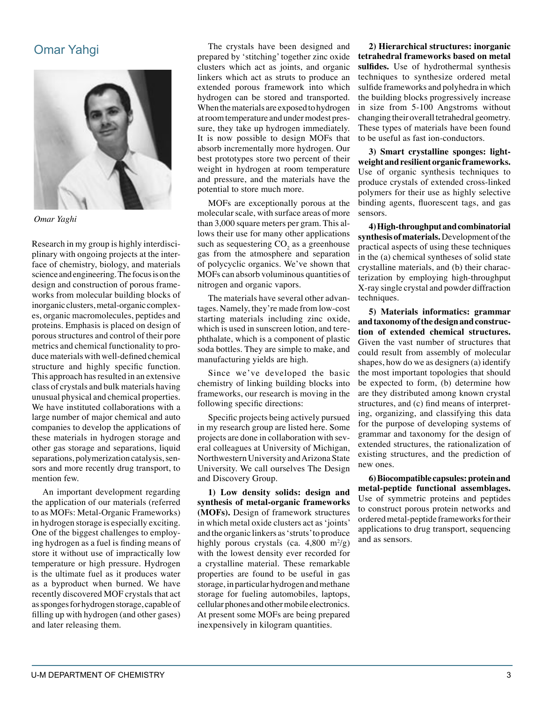### Omar Yahgi



*Omar Yaghi*

Research in my group is highly interdisciplinary with ongoing projects at the interface of chemistry, biology, and materials science and engineering. The focus is on the design and construction of porous frameworks from molecular building blocks of inorganic clusters, metal-organic complexes, organic macromolecules, peptides and proteins. Emphasis is placed on design of porous structures and control of their pore metrics and chemical functionality to produce materials with well-defined chemical structure and highly specific function. This approach has resulted in an extensive class of crystals and bulk materials having unusual physical and chemical properties. We have instituted collaborations with a large number of major chemical and auto companies to develop the applications of these materials in hydrogen storage and other gas storage and separations, liquid separations, polymerization catalysis, sensors and more recently drug transport, to mention few.

An important development regarding the application of our materials (referred to as MOFs: Metal-Organic Frameworks) in hydrogen storage is especially exciting. One of the biggest challenges to employing hydrogen as a fuel is finding means of store it without use of impractically low temperature or high pressure. Hydrogen is the ultimate fuel as it produces water as a byproduct when burned. We have recently discovered MOF crystals that act as sponges for hydrogen storage, capable of filling up with hydrogen (and other gases) and later releasing them.

The crystals have been designed and prepared by ʻstitching' together zinc oxide clusters which act as joints, and organic linkers which act as struts to produce an extended porous framework into which hydrogen can be stored and transported. When the materials are exposed to hydrogen at room temperature and under modest pressure, they take up hydrogen immediately. It is now possible to design MOFs that absorb incrementally more hydrogen. Our best prototypes store two percent of their weight in hydrogen at room temperature and pressure, and the materials have the potential to store much more.

MOFs are exceptionally porous at the molecular scale, with surface areas of more than 3,000 square meters per gram. This allows their use for many other applications such as sequestering  $CO_2$  as a greenhouse gas from the atmosphere and separation of polycyclic organics. We've shown that MOFs can absorb voluminous quantities of nitrogen and organic vapors.

The materials have several other advantages. Namely, they're made from low-cost starting materials including zinc oxide, which is used in sunscreen lotion, and terephthalate, which is a component of plastic soda bottles. They are simple to make, and manufacturing yields are high.

Since we've developed the basic chemistry of linking building blocks into frameworks, our research is moving in the following specific directions:

Specific projects being actively pursued in my research group are listed here. Some projects are done in collaboration with several colleagues at University of Michigan, Northwestern University and Arizona State University. We call ourselves The Design and Discovery Group.

**1) Low density solids: design and synthesis of metal-organic frameworks (MOFs).** Design of framework structures in which metal oxide clusters act as ʻjoints' and the organic linkers as ʻstruts' to produce highly porous crystals (ca.  $4,800 \text{ m}^2/\text{g}$ ) with the lowest density ever recorded for a crystalline material. These remarkable properties are found to be useful in gas storage, in particular hydrogen and methane storage for fueling automobiles, laptops, cellular phones and other mobile electronics. At present some MOFs are being prepared inexpensively in kilogram quantities.

**2) Hierarchical structures: inorganic tetrahedral frameworks based on metal sulfides.** Use of hydrothermal synthesis techniques to synthesize ordered metal sulfide frameworks and polyhedra in which the building blocks progressively increase in size from 5-100 Angstroms without changing their overall tetrahedral geometry. These types of materials have been found to be useful as fast ion-conductors.

**3) Smart crystalline sponges: lightweight and resilient organic frameworks.**  Use of organic synthesis techniques to produce crystals of extended cross-linked polymers for their use as highly selective binding agents, fluorescent tags, and gas sensors.

**4) High-throughput and combinatorial synthesis of materials.** Development of the practical aspects of using these techniques in the (a) chemical syntheses of solid state crystalline materials, and (b) their characterization by employing high-throughput X-ray single crystal and powder diffraction techniques.

**5) Materials informatics: grammar and taxonomy of the design and construction of extended chemical structures.** Given the vast number of structures that could result from assembly of molecular shapes, how do we as designers (a) identify the most important topologies that should be expected to form, (b) determine how are they distributed among known crystal structures, and (c) find means of interpreting, organizing, and classifying this data for the purpose of developing systems of grammar and taxonomy for the design of extended structures, the rationalization of existing structures, and the prediction of new ones.

**6) Biocompatible capsules: protein and metal-peptide functional assemblages.** Use of symmetric proteins and peptides to construct porous protein networks and ordered metal-peptide frameworks for their applications to drug transport, sequencing and as sensors.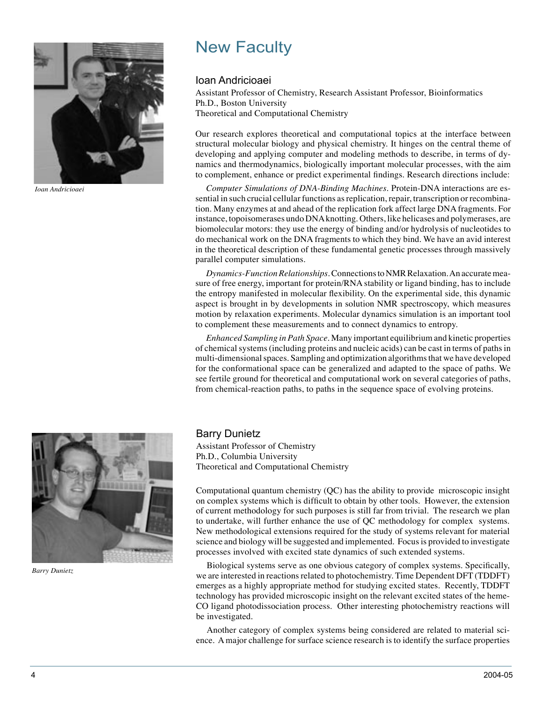

*Ioan Andricioaei*

# New Faculty

#### Ioan Andricioaei

Assistant Professor of Chemistry, Research Assistant Professor, Bioinformatics Ph.D., Boston University Theoretical and Computational Chemistry

Our research explores theoretical and computational topics at the interface between structural molecular biology and physical chemistry. It hinges on the central theme of developing and applying computer and modeling methods to describe, in terms of dynamics and thermodynamics, biologically important molecular processes, with the aim to complement, enhance or predict experimental findings. Research directions include:

*Computer Simulations of DNA-Binding Machines*. Protein-DNA interactions are essential in such crucial cellular functions as replication, repair, transcription or recombination. Many enzymes at and ahead of the replication fork affect large DNA fragments. For instance, topoisomerases undo DNA knotting. Others, like helicases and polymerases, are biomolecular motors: they use the energy of binding and/or hydrolysis of nucleotides to do mechanical work on the DNA fragments to which they bind. We have an avid interest in the theoretical description of these fundamental genetic processes through massively parallel computer simulations.

*Dynamics-Function Relationships*. Connections to NMR Relaxation. An accurate measure of free energy, important for protein/RNA stability or ligand binding, has to include the entropy manifested in molecular flexibility. On the experimental side, this dynamic aspect is brought in by developments in solution NMR spectroscopy, which measures motion by relaxation experiments. Molecular dynamics simulation is an important tool to complement these measurements and to connect dynamics to entropy.

*Enhanced Sampling in Path Space*. Many important equilibrium and kinetic properties of chemical systems (including proteins and nucleic acids) can be cast in terms of paths in multi-dimensional spaces. Sampling and optimization algorithms that we have developed for the conformational space can be generalized and adapted to the space of paths. We see fertile ground for theoretical and computational work on several categories of paths, from chemical-reaction paths, to paths in the sequence space of evolving proteins.

#### Barry Dunietz

Assistant Professor of Chemistry Ph.D., Columbia University Theoretical and Computational Chemistry

Computational quantum chemistry (QC) has the ability to provide microscopic insight on complex systems which is difficult to obtain by other tools. However, the extension of current methodology for such purposes is still far from trivial. The research we plan to undertake, will further enhance the use of QC methodology for complex systems. New methodological extensions required for the study of systems relevant for material science and biology will be suggested and implemented. Focus is provided to investigate processes involved with excited state dynamics of such extended systems.

Biological systems serve as one obvious category of complex systems. Specifically, we are interested in reactions related to photochemistry. Time Dependent DFT (TDDFT) emerges as a highly appropriate method for studying excited states. Recently, TDDFT technology has provided microscopic insight on the relevant excited states of the heme-CO ligand photodissociation process. Other interesting photochemistry reactions will be investigated.

Another category of complex systems being considered are related to material science. A major challenge for surface science research is to identify the surface properties



*Barry Dunietz*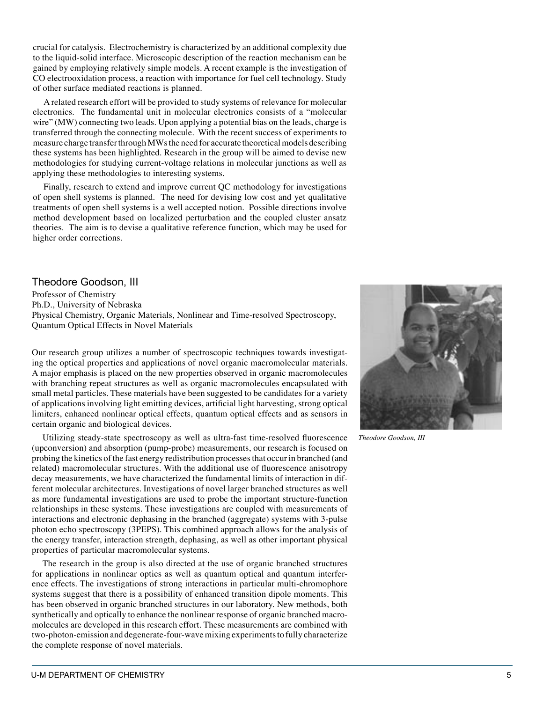crucial for catalysis. Electrochemistry is characterized by an additional complexity due to the liquid-solid interface. Microscopic description of the reaction mechanism can be gained by employing relatively simple models. A recent example is the investigation of CO electrooxidation process, a reaction with importance for fuel cell technology. Study of other surface mediated reactions is planned.

A related research effort will be provided to study systems of relevance for molecular electronics. The fundamental unit in molecular electronics consists of a "molecular wire" (MW) connecting two leads. Upon applying a potential bias on the leads, charge is transferred through the connecting molecule. With the recent success of experiments to measure charge transfer through MWs the need for accurate theoretical models describing these systems has been highlighted. Research in the group will be aimed to devise new methodologies for studying current-voltage relations in molecular junctions as well as applying these methodologies to interesting systems.

Finally, research to extend and improve current QC methodology for investigations of open shell systems is planned. The need for devising low cost and yet qualitative treatments of open shell systems is a well accepted notion. Possible directions involve method development based on localized perturbation and the coupled cluster ansatz theories. The aim is to devise a qualitative reference function, which may be used for higher order corrections.

#### Theodore Goodson, III

Professor of Chemistry Ph.D., University of Nebraska Physical Chemistry, Organic Materials, Nonlinear and Time-resolved Spectroscopy, Quantum Optical Effects in Novel Materials

Our research group utilizes a number of spectroscopic techniques towards investigating the optical properties and applications of novel organic macromolecular materials. A major emphasis is placed on the new properties observed in organic macromolecules with branching repeat structures as well as organic macromolecules encapsulated with small metal particles. These materials have been suggested to be candidates for a variety of applications involving light emitting devices, artificial light harvesting, strong optical limiters, enhanced nonlinear optical effects, quantum optical effects and as sensors in certain organic and biological devices.

Utilizing steady-state spectroscopy as well as ultra-fast time-resolved fluorescence (upconversion) and absorption (pump-probe) measurements, our research is focused on probing the kinetics of the fast energy redistribution processes that occur in branched (and related) macromolecular structures. With the additional use of fluorescence anisotropy decay measurements, we have characterized the fundamental limits of interaction in different molecular architectures. Investigations of novel larger branched structures as well as more fundamental investigations are used to probe the important structure-function relationships in these systems. These investigations are coupled with measurements of interactions and electronic dephasing in the branched (aggregate) systems with 3-pulse photon echo spectroscopy (3PEPS). This combined approach allows for the analysis of the energy transfer, interaction strength, dephasing, as well as other important physical properties of particular macromolecular systems.

The research in the group is also directed at the use of organic branched structures for applications in nonlinear optics as well as quantum optical and quantum interference effects. The investigations of strong interactions in particular multi-chromophore systems suggest that there is a possibility of enhanced transition dipole moments. This has been observed in organic branched structures in our laboratory. New methods, both synthetically and optically to enhance the nonlinear response of organic branched macromolecules are developed in this research effort. These measurements are combined with two-photon-emission and degenerate-four-wave mixing experiments to fully characterize the complete response of novel materials.



*Theodore Goodson, III*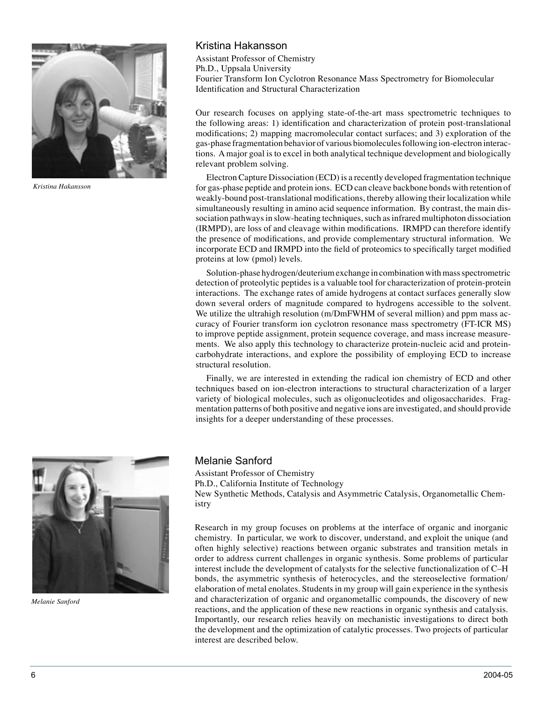

*Kristina Hakansson*

#### Kristina Hakansson

Assistant Professor of Chemistry Ph.D., Uppsala University Fourier Transform Ion Cyclotron Resonance Mass Spectrometry for Biomolecular Identification and Structural Characterization

Our research focuses on applying state-of-the-art mass spectrometric techniques to the following areas: 1) identification and characterization of protein post-translational modifications; 2) mapping macromolecular contact surfaces; and 3) exploration of the gas-phase fragmentation behavior of various biomolecules following ion-electron interactions. A major goal is to excel in both analytical technique development and biologically relevant problem solving.

Electron Capture Dissociation (ECD) is a recently developed fragmentation technique for gas-phase peptide and protein ions. ECD can cleave backbone bonds with retention of weakly-bound post-translational modifications, thereby allowing their localization while simultaneously resulting in amino acid sequence information. By contrast, the main dissociation pathways in slow-heating techniques, such as infrared multiphoton dissociation (IRMPD), are loss of and cleavage within modifications. IRMPD can therefore identify the presence of modifications, and provide complementary structural information. We incorporate ECD and IRMPD into the field of proteomics to specifically target modified proteins at low (pmol) levels.

Solution-phase hydrogen/deuterium exchange in combination with mass spectrometric detection of proteolytic peptides is a valuable tool for characterization of protein-protein interactions. The exchange rates of amide hydrogens at contact surfaces generally slow down several orders of magnitude compared to hydrogens accessible to the solvent. We utilize the ultrahigh resolution (m/DmFWHM of several million) and ppm mass accuracy of Fourier transform ion cyclotron resonance mass spectrometry (FT-ICR MS) to improve peptide assignment, protein sequence coverage, and mass increase measurements. We also apply this technology to characterize protein-nucleic acid and proteincarbohydrate interactions, and explore the possibility of employing ECD to increase structural resolution.

Finally, we are interested in extending the radical ion chemistry of ECD and other techniques based on ion-electron interactions to structural characterization of a larger variety of biological molecules, such as oligonucleotides and oligosaccharides. Fragmentation patterns of both positive and negative ions are investigated, and should provide insights for a deeper understanding of these processes.



*Melanie Sanford*

Melanie Sanford

Assistant Professor of Chemistry Ph.D., California Institute of Technology New Synthetic Methods, Catalysis and Asymmetric Catalysis, Organometallic Chemistry

Research in my group focuses on problems at the interface of organic and inorganic chemistry. In particular, we work to discover, understand, and exploit the unique (and often highly selective) reactions between organic substrates and transition metals in order to address current challenges in organic synthesis. Some problems of particular interest include the development of catalysts for the selective functionalization of C–H bonds, the asymmetric synthesis of heterocycles, and the stereoselective formation/ elaboration of metal enolates. Students in my group will gain experience in the synthesis and characterization of organic and organometallic compounds, the discovery of new reactions, and the application of these new reactions in organic synthesis and catalysis. Importantly, our research relies heavily on mechanistic investigations to direct both the development and the optimization of catalytic processes. Two projects of particular interest are described below.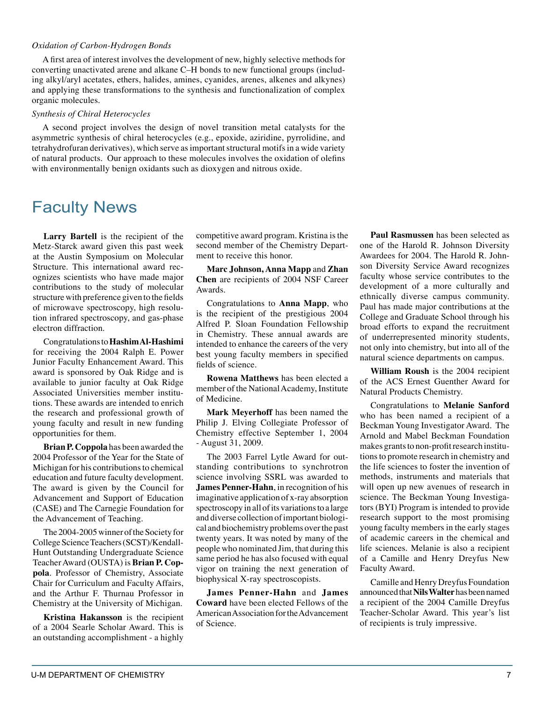#### *Oxidation of Carbon-Hydrogen Bonds*

A first area of interest involves the development of new, highly selective methods for converting unactivated arene and alkane C–H bonds to new functional groups (including alkyl/aryl acetates, ethers, halides, amines, cyanides, arenes, alkenes and alkynes) and applying these transformations to the synthesis and functionalization of complex organic molecules.

#### *Synthesis of Chiral Heterocycles*

A second project involves the design of novel transition metal catalysts for the asymmetric synthesis of chiral heterocycles (e.g., epoxide, aziridine, pyrrolidine, and tetrahydrofuran derivatives), which serve as important structural motifs in a wide variety of natural products. Our approach to these molecules involves the oxidation of olefins with environmentally benign oxidants such as dioxygen and nitrous oxide.

### Faculty News

**Larry Bartell** is the recipient of the Metz-Starck award given this past week at the Austin Symposium on Molecular Structure. This international award recognizes scientists who have made major contributions to the study of molecular structure with preference given to the fields of microwave spectroscopy, high resolution infrared spectroscopy, and gas-phase electron diffraction.

Congratulations to **Hashim Al-Hashimi** for receiving the 2004 Ralph E. Power Junior Faculty Enhancement Award. This award is sponsored by Oak Ridge and is available to junior faculty at Oak Ridge Associated Universities member institutions. These awards are intended to enrich the research and professional growth of young faculty and result in new funding opportunities for them.

**Brian P. Coppola** has been awarded the 2004 Professor of the Year for the State of Michigan for his contributions to chemical education and future faculty development. The award is given by the Council for Advancement and Support of Education (CASE) and The Carnegie Foundation for the Advancement of Teaching.

The 2004-2005 winner of the Society for College Science Teachers (SCST)/Kendall-Hunt Outstanding Undergraduate Science Teacher Award (OUSTA) is **Brian P. Coppola**. Professor of Chemistry, Associate Chair for Curriculum and Faculty Affairs, and the Arthur F. Thurnau Professor in Chemistry at the University of Michigan.

**Kristina Hakansson** is the recipient of a 2004 Searle Scholar Award. This is an outstanding accomplishment - a highly

competitive award program. Kristina is the second member of the Chemistry Department to receive this honor.

**Marc Johnson, Anna Mapp** and **Zhan Chen** are recipients of 2004 NSF Career Awards.

Congratulations to **Anna Mapp**, who is the recipient of the prestigious 2004 Alfred P. Sloan Foundation Fellowship in Chemistry. These annual awards are intended to enhance the careers of the very best young faculty members in specified fields of science.

**Rowena Matthews** has been elected a member of the National Academy, Institute of Medicine.

**Mark Meyerhoff** has been named the Philip J. Elving Collegiate Professor of Chemistry effective September 1, 2004 - August 31, 2009.

The 2003 Farrel Lytle Award for outstanding contributions to synchrotron science involving SSRL was awarded to **James Penner-Hahn**, in recognition of his imaginative application of x-ray absorption spectroscopy in all of its variations to a large and diverse collection of important biological and biochemistry problems over the past twenty years. It was noted by many of the people who nominated Jim, that during this same period he has also focused with equal vigor on training the next generation of biophysical X-ray spectroscopists.

**James Penner-Hahn** and **James Coward** have been elected Fellows of the American Association for the Advancement of Science.

**Paul Rasmussen** has been selected as one of the Harold R. Johnson Diversity Awardees for 2004. The Harold R. Johnson Diversity Service Award recognizes faculty whose service contributes to the development of a more culturally and ethnically diverse campus community. Paul has made major contributions at the College and Graduate School through his broad efforts to expand the recruitment of underrepresented minority students, not only into chemistry, but into all of the natural science departments on campus.

**William Roush** is the 2004 recipient of the ACS Ernest Guenther Award for Natural Products Chemistry.

Congratulations to **Melanie Sanford** who has been named a recipient of a Beckman Young Investigator Award. The Arnold and Mabel Beckman Foundation makes grants to non-profit research institutions to promote research in chemistry and the life sciences to foster the invention of methods, instruments and materials that will open up new avenues of research in science. The Beckman Young Investigators (BYI) Program is intended to provide research support to the most promising young faculty members in the early stages of academic careers in the chemical and life sciences. Melanie is also a recipient of a Camille and Henry Dreyfus New Faculty Award.

Camille and Henry Dreyfus Foundation announced that **Nils Walter** has been named a recipient of the 2004 Camille Dreyfus Teacher-Scholar Award. This year's list of recipients is truly impressive.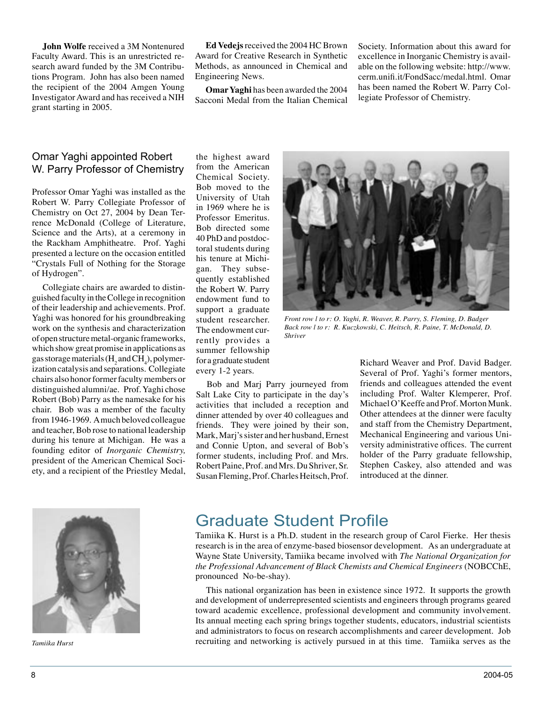**John Wolfe** received a 3M Nontenured Faculty Award. This is an unrestricted research award funded by the 3M Contributions Program. John has also been named the recipient of the 2004 Amgen Young Investigator Award and has received a NIH grant starting in 2005.

**Ed Vedejs** received the 2004 HC Brown Award for Creative Research in Synthetic Methods, as announced in Chemical and Engineering News.

**Omar Yaghi** has been awarded the 2004 Sacconi Medal from the Italian Chemical

Society. Information about this award for excellence in Inorganic Chemistry is available on the following website: http://www. cerm.unifi.it/FondSacc/medal.html. Omar has been named the Robert W. Parry Collegiate Professor of Chemistry.

#### Omar Yaghi appointed Robert W. Parry Professor of Chemistry

Professor Omar Yaghi was installed as the Robert W. Parry Collegiate Professor of Chemistry on Oct 27, 2004 by Dean Terrence McDonald (College of Literature, Science and the Arts), at a ceremony in the Rackham Amphitheatre. Prof. Yaghi presented a lecture on the occasion entitled "Crystals Full of Nothing for the Storage of Hydrogen".

Collegiate chairs are awarded to distinguished faculty in the College in recognition of their leadership and achievements. Prof. Yaghi was honored for his groundbreaking work on the synthesis and characterization of open structure metal-organic frameworks, which show great promise in applications as gas storage materials (H<sub>2</sub> and CH<sub>4</sub>), polymerization catalysis and separations. Collegiate chairs also honor former faculty members or distinguished alumni/ae. Prof. Yaghi chose Robert (Bob) Parry as the namesake for his chair. Bob was a member of the faculty from 1946-1969. A much beloved colleague and teacher, Bob rose to national leadership during his tenure at Michigan. He was a founding editor of *Inorganic Chemistry,* president of the American Chemical Society, and a recipient of the Priestley Medal, the highest award from the American Chemical Society. Bob moved to the University of Utah in 1969 where he is Professor Emeritus. Bob directed some 40 PhD and postdoctoral students during his tenure at Michigan. They subsequently established the Robert W. Parry endowment fund to support a graduate student researcher. The endowment currently provides a summer fellowship for a graduate student every 1-2 years.

Bob and Marj Parry journeyed from Salt Lake City to participate in the day's activities that included a reception and dinner attended by over 40 colleagues and friends. They were joined by their son, Mark, Marj's sister and her husband, Ernest and Connie Upton, and several of Bob's former students, including Prof. and Mrs. Robert Paine, Prof. and Mrs. Du Shriver, Sr. Susan Fleming, Prof. Charles Heitsch, Prof.



*Front row l to r: O. Yaghi, R. Weaver, R. Parry, S. Fleming, D. Badger Back row l to r: R. Kuczkowski, C. Heitsch, R. Paine, T. McDonald, D. Shriver*

Richard Weaver and Prof. David Badger. Several of Prof. Yaghi's former mentors, friends and colleagues attended the event including Prof. Walter Klemperer, Prof. Michael O'Keeffe and Prof. Morton Munk. Other attendees at the dinner were faculty and staff from the Chemistry Department, Mechanical Engineering and various University administrative offices. The current holder of the Parry graduate fellowship, Stephen Caskey, also attended and was introduced at the dinner.



### Graduate Student Profile

Tamiika K. Hurst is a Ph.D. student in the research group of Carol Fierke. Her thesis research is in the area of enzyme-based biosensor development. As an undergraduate at Wayne State University, Tamiika became involved with *The National Organization for the Professional Advancement of Black Chemists and Chemical Engineers* (NOBCChE, pronounced No-be-shay).

This national organization has been in existence since 1972. It supports the growth and development of underrepresented scientists and engineers through programs geared toward academic excellence, professional development and community involvement. Its annual meeting each spring brings together students, educators, industrial scientists and administrators to focus on research accomplishments and career development. Job *Tamiika Hurst* recruiting and networking is actively pursued in at this time. Tamiika serves as the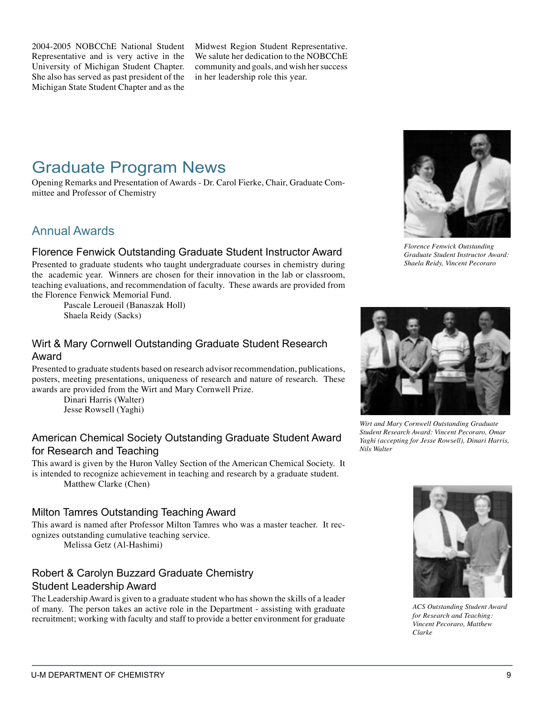2004-2005 NOBCChE National Student Representative and is very active in the University of Michigan Student Chapter. She also has served as past president of the Michigan State Student Chapter and as the

Midwest Region Student Representative. We salute her dedication to the NOBCChE community and goals, and wish her success in her leadership role this year.

# Graduate Program News

Opening Remarks and Presentation of Awards - Dr. Carol Fierke, Chair, Graduate Committee and Professor of Chemistry

### Annual Awards

#### Florence Fenwick Outstanding Graduate Student Instructor Award

Presented to graduate students who taught undergraduate courses in chemistry during the academic year. Winners are chosen for their innovation in the lab or classroom, teaching evaluations, and recommendation of faculty. These awards are provided from the Florence Fenwick Memorial Fund.

 Pascale Leroueil (Banaszak Holl) Shaela Reidy (Sacks)

#### Wirt & Mary Cornwell Outstanding Graduate Student Research Award

Presented to graduate students based on research advisor recommendation, publications, posters, meeting presentations, uniqueness of research and nature of research. These awards are provided from the Wirt and Mary Cornwell Prize.

 Dinari Harris (Walter) Jesse Rowsell (Yaghi)

#### American Chemical Society Outstanding Graduate Student Award for Research and Teaching

This award is given by the Huron Valley Section of the American Chemical Society. It is intended to recognize achievement in teaching and research by a graduate student. Matthew Clarke (Chen)

#### Milton Tamres Outstanding Teaching Award

This award is named after Professor Milton Tamres who was a master teacher. It recognizes outstanding cumulative teaching service.

Melissa Getz (Al-Hashimi)

### Robert & Carolyn Buzzard Graduate Chemistry Student Leadership Award

The Leadership Award is given to a graduate student who has shown the skills of a leader of many. The person takes an active role in the Department - assisting with graduate recruitment; working with faculty and staff to provide a better environment for graduate



*Florence Fenwick Outstanding Graduate Student Instructor Award: Shaela Reidy, Vincent Pecoraro*



*Wirt and Mary Cornwell Outstanding Graduate Student Research Award: Vincent Pecoraro, Omar Yaghi (accepting for Jesse Rowsell), Dinari Harris, Nils Walter*



*ACS Outstanding Student Award for Research and Teaching: Vincent Pecoraro, Matthew Clarke*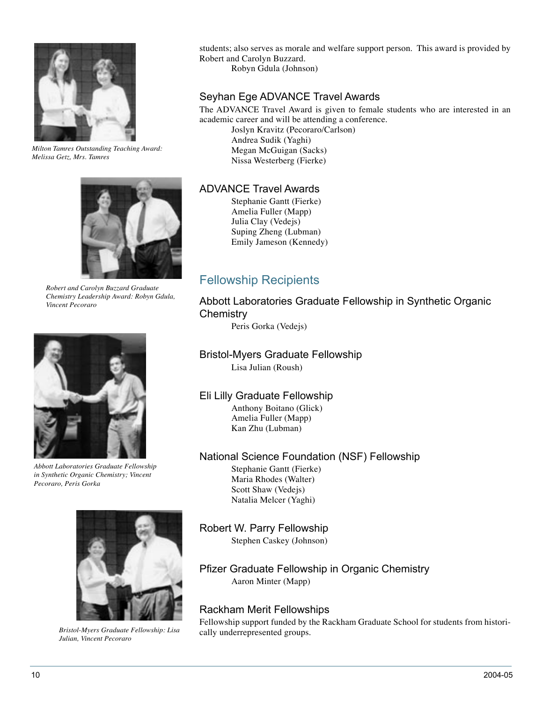

*Milton Tamres Outstanding Teaching Award: Melissa Getz, Mrs. Tamres*



*Robert and Carolyn Buzzard Graduate Chemistry Leadership Award: Robyn Gdula, Vincent Pecoraro*



*Abbott Laboratories Graduate Fellowship in Synthetic Organic Chemistry; Vincent Pecoraro, Peris Gorka*



*Bristol-Myers Graduate Fellowship: Lisa Julian, Vincent Pecoraro*

students; also serves as morale and welfare support person. This award is provided by Robert and Carolyn Buzzard. Robyn Gdula (Johnson)

#### Seyhan Ege ADVANCE Travel Awards

The ADVANCE Travel Award is given to female students who are interested in an academic career and will be attending a conference.

 Joslyn Kravitz (Pecoraro/Carlson) Andrea Sudik (Yaghi) Megan McGuigan (Sacks) Nissa Westerberg (Fierke)

#### ADVANCE Travel Awards

 Stephanie Gantt (Fierke) Amelia Fuller (Mapp) Julia Clay (Vedejs) Suping Zheng (Lubman) Emily Jameson (Kennedy)

### Fellowship Recipients

### Abbott Laboratories Graduate Fellowship in Synthetic Organic **Chemistry**

Peris Gorka (Vedejs)

# Bristol-Myers Graduate Fellowship

Lisa Julian (Roush)

#### Eli Lilly Graduate Fellowship

 Anthony Boitano (Glick) Amelia Fuller (Mapp) Kan Zhu (Lubman)

#### National Science Foundation (NSF) Fellowship

 Stephanie Gantt (Fierke) Maria Rhodes (Walter) Scott Shaw (Vedejs) Natalia Melcer (Yaghi)

Robert W. Parry Fellowship Stephen Caskey (Johnson)

#### Pfizer Graduate Fellowship in Organic Chemistry Aaron Minter (Mapp)

#### Rackham Merit Fellowships

Fellowship support funded by the Rackham Graduate School for students from historically underrepresented groups.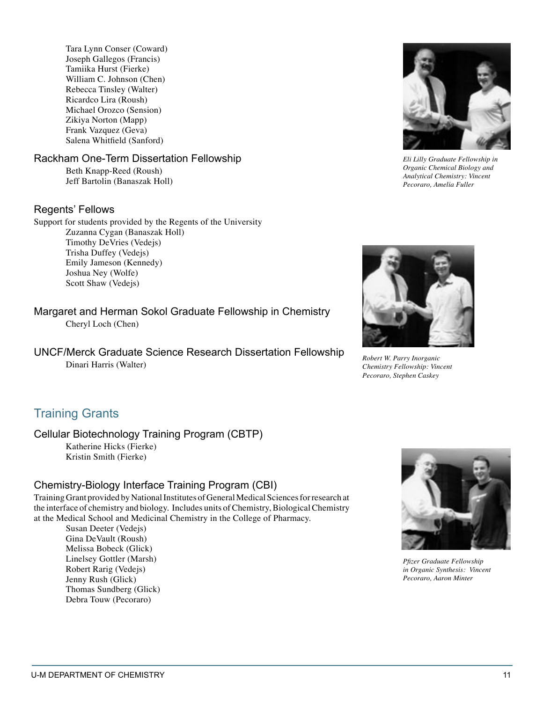Tara Lynn Conser (Coward) Joseph Gallegos (Francis) Tamiika Hurst (Fierke) William C. Johnson (Chen) Rebecca Tinsley (Walter) Ricardco Lira (Roush) Michael Orozco (Sension) Zikiya Norton (Mapp) Frank Vazquez (Geva) Salena Whitfield (Sanford)

#### Rackham One-Term Dissertation Fellowship

 Beth Knapp-Reed (Roush) Jeff Bartolin (Banaszak Holl)

#### Regents' Fellows

Support for students provided by the Regents of the University Zuzanna Cygan (Banaszak Holl) Timothy DeVries (Vedejs) Trisha Duffey (Vedejs) Emily Jameson (Kennedy) Joshua Ney (Wolfe) Scott Shaw (Vedejs)

Margaret and Herman Sokol Graduate Fellowship in Chemistry Cheryl Loch (Chen)

UNCF/Merck Graduate Science Research Dissertation Fellowship Dinari Harris (Walter)



*Eli Lilly Graduate Fellowship in Organic Chemical Biology and Analytical Chemistry: Vincent Pecoraro, Amelia Fuller*



*Robert W. Parry Inorganic Chemistry Fellowship: Vincent Pecoraro, Stephen Caskey*

### Training Grants

Cellular Biotechnology Training Program (CBTP)

 Katherine Hicks (Fierke) Kristin Smith (Fierke)

#### Chemistry-Biology Interface Training Program (CBI)

Training Grant provided by National Institutes of General Medical Sciences for research at the interface of chemistry and biology. Includes units of Chemistry, Biological Chemistry at the Medical School and Medicinal Chemistry in the College of Pharmacy.

 Susan Deeter (Vedejs) Gina DeVault (Roush) Melissa Bobeck (Glick) Linelsey Gottler (Marsh) Robert Rarig (Vedejs) Jenny Rush (Glick) Thomas Sundberg (Glick) Debra Touw (Pecoraro)



*Pfizer Graduate Fellowship in Organic Synthesis: Vincent Pecoraro, Aaron Minter*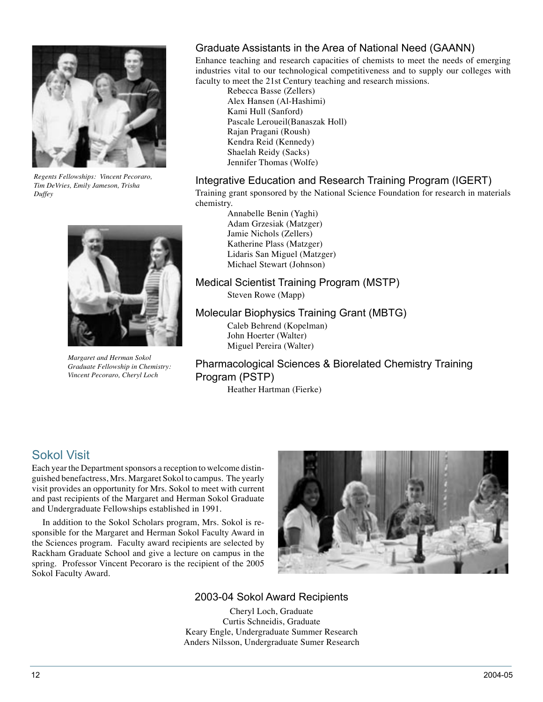

*Regents Fellowships: Vincent Pecoraro, Tim DeVries, Emily Jameson, Trisha Duffey*



*Margaret and Herman Sokol Graduate Fellowship in Chemistry: Vincent Pecoraro, Cheryl Loch*

#### Graduate Assistants in the Area of National Need (GAANN)

Enhance teaching and research capacities of chemists to meet the needs of emerging industries vital to our technological competitiveness and to supply our colleges with faculty to meet the 21st Century teaching and research missions.

 Rebecca Basse (Zellers) Alex Hansen (Al-Hashimi) Kami Hull (Sanford) Pascale Leroueil(Banaszak Holl) Rajan Pragani (Roush) Kendra Reid (Kennedy) Shaelah Reidy (Sacks) Jennifer Thomas (Wolfe)

#### Integrative Education and Research Training Program (IGERT)

Training grant sponsored by the National Science Foundation for research in materials chemistry.

 Annabelle Benin (Yaghi) Adam Grzesiak (Matzger) Jamie Nichols (Zellers) Katherine Plass (Matzger) Lidaris San Miguel (Matzger) Michael Stewart (Johnson)

#### Medical Scientist Training Program (MSTP)

Steven Rowe (Mapp)

#### Molecular Biophysics Training Grant (MBTG)

 Caleb Behrend (Kopelman) John Hoerter (Walter) Miguel Pereira (Walter)

### Pharmacological Sciences & Biorelated Chemistry Training Program (PSTP)

Heather Hartman (Fierke)

### Sokol Visit

Each year the Department sponsors a reception to welcome distinguished benefactress, Mrs. Margaret Sokol to campus. The yearly visit provides an opportunity for Mrs. Sokol to meet with current and past recipients of the Margaret and Herman Sokol Graduate and Undergraduate Fellowships established in 1991.

In addition to the Sokol Scholars program, Mrs. Sokol is responsible for the Margaret and Herman Sokol Faculty Award in the Sciences program. Faculty award recipients are selected by Rackham Graduate School and give a lecture on campus in the spring. Professor Vincent Pecoraro is the recipient of the 2005 Sokol Faculty Award.



#### 2003-04 Sokol Award Recipients

Cheryl Loch, Graduate Curtis Schneidis, Graduate Keary Engle, Undergraduate Summer Research Anders Nilsson, Undergraduate Sumer Research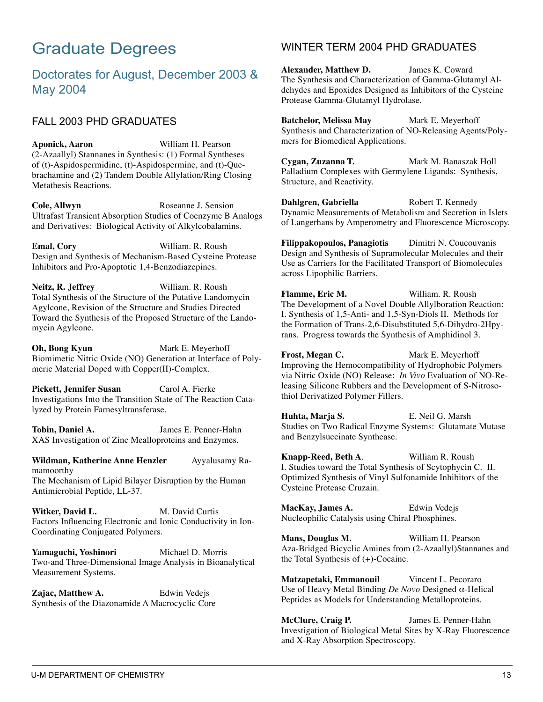# Graduate Degrees

### Doctorates for August, December 2003 & May 2004

### FALL 2003 PHD GRADUATES

**Aponick, Aaron** William H. Pearson (2-Azaallyl) Stannanes in Synthesis: (1) Formal Syntheses of (t)-Aspidospermidine, (t)-Aspidospermine, and (t)-Quebrachamine and (2) Tandem Double Allylation/Ring Closing Metathesis Reactions.

**Cole, Allwyn** Roseanne J. Sension Ultrafast Transient Absorption Studies of Coenzyme B Analogs and Derivatives: Biological Activity of Alkylcobalamins.

**Emal, Cory** William. R. Roush Design and Synthesis of Mechanism-Based Cysteine Protease Inhibitors and Pro-Apoptotic 1,4-Benzodiazepines.

**Neitz, R. Jeffrey** William. R. Roush Total Synthesis of the Structure of the Putative Landomycin Agylcone, Revision of the Structure and Studies Directed Toward the Synthesis of the Proposed Structure of the Landomycin Agylcone.

**Oh, Bong Kyun** Mark E. Meyerhoff Biomimetic Nitric Oxide (NO) Generation at Interface of Polymeric Material Doped with Copper(II)-Complex.

Pickett, Jennifer Susan Carol A. Fierke Investigations Into the Transition State of The Reaction Catalyzed by Protein Farnesyltransferase.

**Tobin, Daniel A.** James E. Penner-Hahn XAS Investigation of Zinc Mealloproteins and Enzymes.

**Wildman, Katherine Anne Henzler** Ayyalusamy Ramamoorthy The Mechanism of Lipid Bilayer Disruption by the Human Antimicrobial Peptide, LL-37.

Witker, David L. M. David Curtis Factors Influencing Electronic and Ionic Conductivity in Ion-Coordinating Conjugated Polymers.

Yamaguchi, Yoshinori Michael D. Morris Two-and Three-Dimensional Image Analysis in Bioanalytical Measurement Systems.

Zajac, Matthew A. **Edwin Vedejs** Synthesis of the Diazonamide A Macrocyclic Core

#### WINTER TERM 2004 PHD GRADUATES

**Alexander, Matthew D.** James K. Coward The Synthesis and Characterization of Gamma-Glutamyl Aldehydes and Epoxides Designed as Inhibitors of the Cysteine Protease Gamma-Glutamyl Hydrolase.

**Batchelor, Melissa May Mark E. Meyerhoff** Synthesis and Characterization of NO-Releasing Agents/Polymers for Biomedical Applications.

**Cygan, Zuzanna T.** Mark M. Banaszak Holl Palladium Complexes with Germylene Ligands: Synthesis, Structure, and Reactivity.

**Dahlgren, Gabriella** Robert T. Kennedy Dynamic Measurements of Metabolism and Secretion in Islets of Langerhans by Amperometry and Fluorescence Microscopy.

**Filippakopoulos, Panagiotis** Dimitri N. Coucouvanis Design and Synthesis of Supramolecular Molecules and their Use as Carriers for the Facilitated Transport of Biomolecules across Lipophilic Barriers.

**Flamme, Eric M.** William. R. Roush The Development of a Novel Double Allylboration Reaction: I. Synthesis of 1,5-Anti- and 1,5-Syn-Diols II. Methods for the Formation of Trans-2,6-Disubstituted 5,6-Dihydro-2Hpyrans. Progress towards the Synthesis of Amphidinol 3.

**Frost, Megan C.** Mark E. Meyerhoff Improving the Hemocompatibility of Hydrophobic Polymers via Nitric Oxide (NO) Release: *In Vivo* Evaluation of NO-Releasing Silicone Rubbers and the Development of S-Nitrosothiol Derivatized Polymer Fillers.

**Huhta, Marja S.** E. Neil G. Marsh Studies on Two Radical Enzyme Systems: Glutamate Mutase and Benzylsuccinate Synthease.

**Knapp-Reed, Beth A**. William R. Roush I. Studies toward the Total Synthesis of Scytophycin C. II. Optimized Synthesis of Vinyl Sulfonamide Inhibitors of the Cysteine Protease Cruzain.

**MacKay, James A.** Edwin Vedejs Nucleophilic Catalysis using Chiral Phosphines.

**Mans, Douglas M.** William H. Pearson Aza-Bridged Bicyclic Amines from (2-Azaallyl)Stannanes and the Total Synthesis of (+)-Cocaine.

**Matzapetaki, Emmanouil** Vincent L. Pecoraro Use of Heavy Metal Binding *De Novo* Designed α-Helical Peptides as Models for Understanding Metalloproteins.

**McClure, Craig P.** James E. Penner-Hahn Investigation of Biological Metal Sites by X-Ray Fluorescence and X-Ray Absorption Spectroscopy.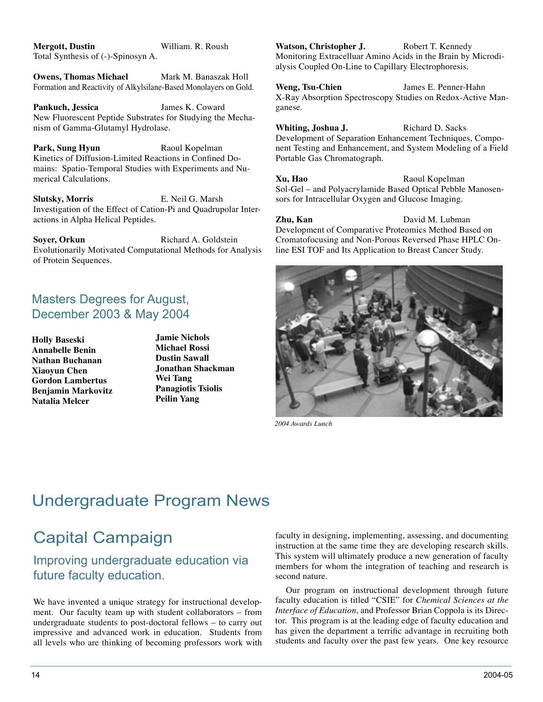**Mergott, Dustin** William. R. Roush Total Synthesis of (-)-Spinosyn A.

**Owens, Thomas Michael Mark M. Banaszak Holl** Formation and Reactivity of Alkylsilane-Based Monolayers on Gold.

**Pankuch, Jessica** James K. Coward New Fluorescent Peptide Substrates for Studying the Mechanism of Gamma-Glutamyl Hydrolase.

**Park, Sung Hyun** Raoul Kopelman Kinetics of Diffusion-Limited Reactions in Confined Domains: Spatio-Temporal Studies with Experiments and Numerical Calculations.

**Slutsky, Morris** E. Neil G. Marsh Investigation of the Effect of Cation-Pi and Quadrupolar Interactions in Alpha Helical Peptides.

**Soyer, Orkun** Richard A. Goldstein Evolutionarily Motivated Computational Methods for Analysis of Protein Sequences.

### Masters Degrees for August, December 2003 & May 2004

**Holly Baseski Annabelle Benin Nathan Buchanan Xiaoyun Chen Gordon Lambertus Benjamin Markovitz Natalia Melcer**

**Jamie Nichols Michael Rossi Dustin Sawall Jonathan Shackman Wei Tang Panagiotis Tsiolis Peilin Yang**

Watson, Christopher J. Robert T. Kennedy Monitoring Extracelluar Amino Acids in the Brain by Microdialysis Coupled On-Line to Capillary Electrophoresis.

**Weng, Tsu-Chien** James E. Penner-Hahn X-Ray Absorption Spectroscopy Studies on Redox-Active Manganese.

**Whiting, Joshua J.** Richard D. Sacks Development of Separation Enhancement Techniques, Component Testing and Enhancement, and System Modeling of a Field Portable Gas Chromatograph.

**Xu, Hao** Raoul Kopelman Sol-Gel – and Polyacrylamide Based Optical Pebble Manosensors for Intracellular Oxygen and Glucose Imaging.

**Zhu, Kan** David M. Lubman Development of Comparative Proteomics Method Based on Cromatofocusing and Non-Porous Reversed Phase HPLC Online ESI TOF and Its Application to Breast Cancer Study.



*2004 Awards Lunch*

## Undergraduate Program News

# Capital Campaign

### Improving undergraduate education via future faculty education.

We have invented a unique strategy for instructional development. Our faculty team up with student collaborators – from undergraduate students to post-doctoral fellows – to carry out impressive and advanced work in education. Students from all levels who are thinking of becoming professors work with

faculty in designing, implementing, assessing, and documenting instruction at the same time they are developing research skills. This system will ultimately produce a new generation of faculty members for whom the integration of teaching and research is second nature.

Our program on instructional development through future faculty education is titled "CSIE" for *Chemical Sciences at the Interface of Education*, and Professor Brian Coppola is its Director. This program is at the leading edge of faculty education and has given the department a terrific advantage in recruiting both students and faculty over the past few years. One key resource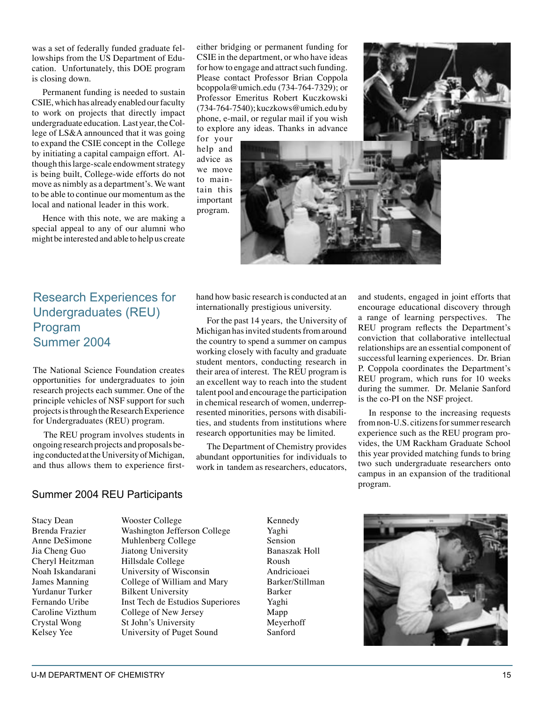was a set of federally funded graduate fellowships from the US Department of Education. Unfortunately, this DOE program is closing down.

Permanent funding is needed to sustain CSIE, which has already enabled our faculty to work on projects that directly impact undergraduate education. Last year, the College of LS&A announced that it was going to expand the CSIE concept in the College by initiating a capital campaign effort. Although this large-scale endowment strategy is being built, College-wide efforts do not move as nimbly as a department's. We want to be able to continue our momentum as the local and national leader in this work.

Hence with this note, we are making a special appeal to any of our alumni who might be interested and able to help us create

either bridging or permanent funding for CSIE in the department, or who have ideas for how to engage and attract such funding. Please contact Professor Brian Coppola bcoppola@umich.edu (734-764-7329); or Professor Emeritus Robert Kuczkowski (734-764-7540); kuczkows@umich.edu by phone, e-mail, or regular mail if you wish to explore any ideas. Thanks in advance

for your help and advice as we move to maintain this important program.



### Research Experiences for Undergraduates (REU) Program Summer 2004

The National Science Foundation creates opportunities for undergraduates to join research projects each summer. One of the principle vehicles of NSF support for such projects is through the Research Experience for Undergraduates (REU) program.

The REU program involves students in ongoing research projects and proposals being conducted at the University of Michigan, and thus allows them to experience firsthand how basic research is conducted at an internationally prestigious university.

For the past 14 years, the University of Michigan has invited students from around the country to spend a summer on campus working closely with faculty and graduate student mentors, conducting research in their area of interest. The REU program is an excellent way to reach into the student talent pool and encourage the participation in chemical research of women, underrepresented minorities, persons with disabilities, and students from institutions where research opportunities may be limited.

The Department of Chemistry provides abundant opportunities for individuals to work in tandem as researchers, educators,

and students, engaged in joint efforts that encourage educational discovery through a range of learning perspectives. The REU program reflects the Department's conviction that collaborative intellectual relationships are an essential component of successful learning experiences. Dr. Brian P. Coppola coordinates the Department's REU program, which runs for 10 weeks during the summer. Dr. Melanie Sanford is the co-PI on the NSF project.

In response to the increasing requests from non-U.S. citizens for summer research experience such as the REU program provides, the UM Rackham Graduate School this year provided matching funds to bring two such undergraduate researchers onto campus in an expansion of the traditional program.

#### Summer 2004 REU Participants

Stacy Dean Wooster College Kennedy<br>Brenda Frazier Washington Jefferson College Yaghi Brenda Frazier Washington Jefferson College Yaghi Anne DeSimone Muhlenberg College Sension<br>
Jia Cheng Guo Jiatong University Sanaszak Holl Jiatong University Cheryl Heitzman Hillsdale College **Roush Roush**<br>
Noah Iskandarani University of Wisconsin Andricioaei Noah Iskandarani University of Wisconsin Andricioaei College of William and Mary Yurdanur Turker Bilkent University Barker<br>
Fernando Uribe Inst Tech de Estudios Superiores Yaghi Fernando Uribe Inst Tech de Estudios Superiores Yaghi<br>Caroline Vizthum College of New Jersey Mapp College of New Jersey Mapp Crystal Wong St John's University Meyerhoff<br>
Sanford Sanford Selsey Yee University of Puget Sound Sanford Kelsey Yee University of Puget Sound

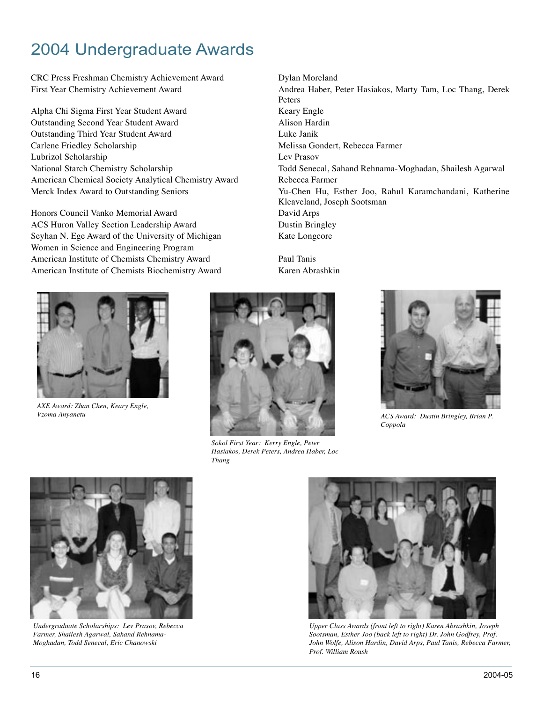# 2004 Undergraduate Awards

CRC Press Freshman Chemistry Achievement Award Dylan Moreland

Alpha Chi Sigma First Year Student Award Keary Engle Outstanding Second Year Student Award Alison Hardin Outstanding Third Year Student Award Luke Janik Carlene Friedley Scholarship Melissa Gondert, Rebecca Farmer Lubrizol Scholarship Lev Prasov American Chemical Society Analytical Chemistry Award Rebecca Farmer

Honors Council Vanko Memorial Award David Arps ACS Huron Valley Section Leadership Award Dustin Bringley Seyhan N. Ege Award of the University of Michigan Kate Longcore Women in Science and Engineering Program American Institute of Chemists Chemistry Award Paul Tanis American Institute of Chemists Biochemistry Award Karen Abrashkin



*AXE Award: Zhan Chen, Keary Engle, Vzoma Anyanetu*



*Sokol First Year: Kerry Engle, Peter Hasiakos, Derek Peters, Andrea Haber, Loc Thang*

First Year Chemistry Achievement Award Andrea Haber, Peter Hasiakos, Marty Tam, Loc Thang, Derek Peters National Starch Chemistry Scholarship Todd Senecal, Sahand Rehnama-Moghadan, Shailesh Agarwal Merck Index Award to Outstanding Seniors Yu-Chen Hu, Esther Joo, Rahul Karamchandani, Katherine Kleaveland, Joseph Sootsman



*ACS Award: Dustin Bringley, Brian P. Coppola*



*Undergraduate Scholarships: Lev Prasov, Rebecca Farmer, Shailesh Agarwal, Sahand Rehnama-Moghadan, Todd Senecal, Eric Chanowski*



*Upper Class Awards (front left to right) Karen Abrashkin, Joseph Sootsman, Esther Joo (back left to right) Dr. John Godfrey, Prof. John Wolfe, Alison Hardin, David Arps, Paul Tanis, Rebecca Farmer, Prof. William Roush*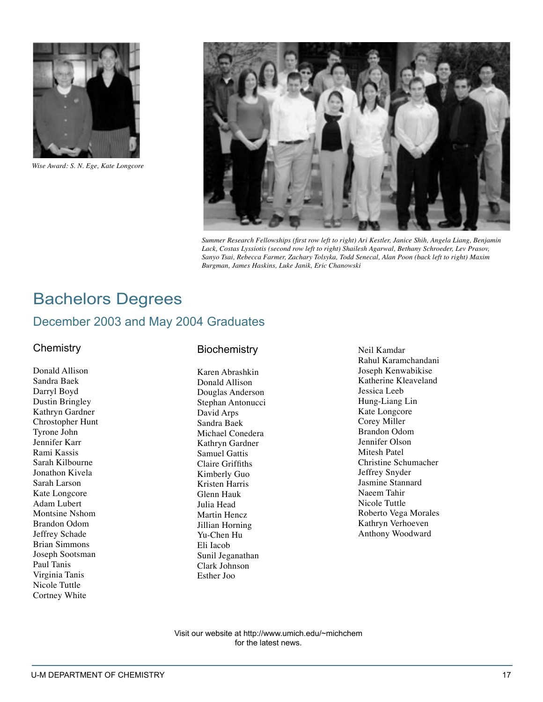

*Wise Award: S. N. Ege, Kate Longcore*



*Summer Research Fellowships (first row left to right) Ari Kestler, Janice Shih, Angela Liang, Benjamin Lack, Costas Lyssiotis (second row left to right) Shailesh Agarwal, Bethany Schroeder, Lev Prasov, Sanyo Tsai, Rebecca Farmer, Zachary Tolsyka, Todd Senecal, Alan Poon (back left to right) Maxim Burgman, James Haskins, Luke Janik, Eric Chanowski*

# Bachelors Degrees December 2003 and May 2004 Graduates

#### **Chemistry**

Donald Allison Sandra Baek Darryl Boyd Dustin Bringley Kathryn Gardner Chrostopher Hunt Tyrone John Jennifer Karr Rami Kassis Sarah Kilbourne Jonathon Kivela Sarah Larson Kate Longcore Adam Lubert Montsine Nshom Brandon Odom Jeffrey Schade Brian Simmons Joseph Sootsman Paul Tanis Virginia Tanis Nicole Tuttle Cortney White

#### **Biochemistry**

Karen Abrashkin Donald Allison Douglas Anderson Stephan Antonucci David Arps Sandra Baek Michael Conedera Kathryn Gardner Samuel Gattis Claire Griffiths Kimberly Guo Kristen Harris Glenn Hauk Julia Head Martin Hencz Jillian Horning Yu-Chen Hu Eli Iacob Sunil Jeganathan Clark Johnson Esther Joo

Neil Kamdar Rahul Karamchandani Joseph Kenwabikise Katherine Kleaveland Jessica Leeb Hung-Liang Lin Kate Longcore Corey Miller Brandon Odom Jennifer Olson Mitesh Patel Christine Schumacher Jeffrey Snyder Jasmine Stannard Naeem Tahir Nicole Tuttle Roberto Vega Morales Kathryn Verhoeven Anthony Woodward

Visit our website at http://www.umich.edu/~michchem for the latest news.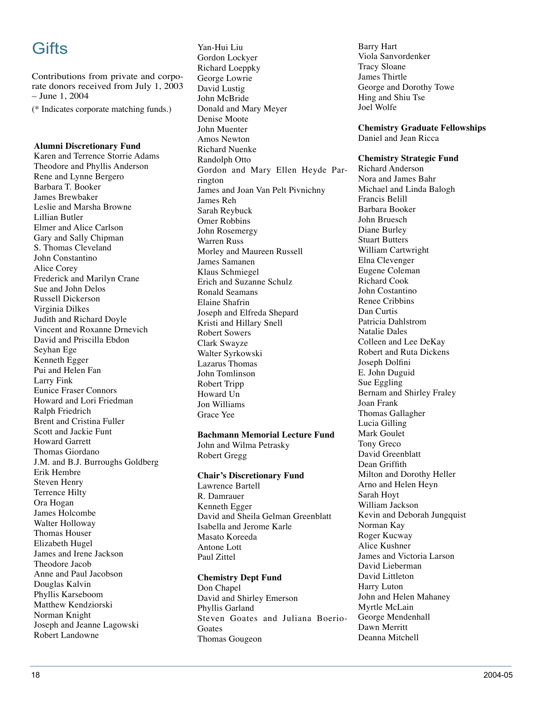# Gifts

Contributions from private and corporate donors received from July 1, 2003 – June 1, 2004

(\* Indicates corporate matching funds.)

#### **Alumni Discretionary Fund**

Karen and Terrence Storrie Adams Theodore and Phyllis Anderson Rene and Lynne Bergero Barbara T. Booker James Brewbaker Leslie and Marsha Browne Lillian Butler Elmer and Alice Carlson Gary and Sally Chipman S. Thomas Cleveland John Constantino Alice Corey Frederick and Marilyn Crane Sue and John Delos Russell Dickerson Virginia Dilkes Judith and Richard Doyle Vincent and Roxanne Drnevich David and Priscilla Ebdon Seyhan Ege Kenneth Egger Pui and Helen Fan Larry Fink Eunice Fraser Connors Howard and Lori Friedman Ralph Friedrich Brent and Cristina Fuller Scott and Jackie Funt Howard Garrett Thomas Giordano J.M. and B.J. Burroughs Goldberg Erik Hembre Steven Henry Terrence Hilty Ora Hogan James Holcombe Walter Holloway Thomas Houser Elizabeth Hugel James and Irene Jackson Theodore Jacob Anne and Paul Jacobson Douglas Kalvin Phyllis Karseboom Matthew Kendziorski Norman Knight Joseph and Jeanne Lagowski Robert Landowne

Yan-Hui Liu Gordon Lockyer Richard Loeppky George Lowrie David Lustig John McBride Donald and Mary Meyer Denise Moote John Muenter Amos Newton Richard Nuenke Randolph Otto Gordon and Mary Ellen Heyde Parrington James and Joan Van Pelt Pivnichny James Reh Sarah Reybuck Omer Robbins John Rosemergy Warren Russ Morley and Maureen Russell James Samanen Klaus Schmiegel Erich and Suzanne Schulz Ronald Seamans Elaine Shafrin Joseph and Elfreda Shepard Kristi and Hillary Snell Robert Sowers Clark Swayze Walter Syrkowski Lazarus Thomas John Tomlinson Robert Tripp Howard Un Jon Williams Grace Yee

#### **Bachmann Memorial Lecture Fund**

John and Wilma Petrasky Robert Gregg

#### **Chair's Discretionary Fund**

Lawrence Bartell R. Damrauer Kenneth Egger David and Sheila Gelman Greenblatt Isabella and Jerome Karle Masato Koreeda Antone Lott Paul Zittel

#### **Chemistry Dept Fund**

Don Chapel David and Shirley Emerson Phyllis Garland Steven Goates and Juliana Boerio-Goates Thomas Gougeon

Barry Hart Viola Sanvordenker Tracy Sloane James Thirtle George and Dorothy Towe Hing and Shiu Tse Joel Wolfe

**Chemistry Graduate Fellowships** Daniel and Jean Ricca

#### **Chemistry Strategic Fund**

Richard Anderson Nora and James Bahr Michael and Linda Balogh Francis Belill Barbara Booker John Bruesch Diane Burley Stuart Butters William Cartwright Elna Clevenger Eugene Coleman Richard Cook John Costantino Renee Cribbins Dan Curtis Patricia Dahlstrom Natalie Dales Colleen and Lee DeKay Robert and Ruta Dickens Joseph Dolfini E. John Duguid Sue Eggling Bernam and Shirley Fraley Joan Frank Thomas Gallagher Lucia Gilling Mark Goulet Tony Greco David Greenblatt Dean Griffith Milton and Dorothy Heller Arno and Helen Heyn Sarah Hoyt William Jackson Kevin and Deborah Jungquist Norman Kay Roger Kucway Alice Kushner James and Victoria Larson David Lieberman David Littleton Harry Luton John and Helen Mahaney Myrtle McLain George Mendenhall Dawn Merritt Deanna Mitchell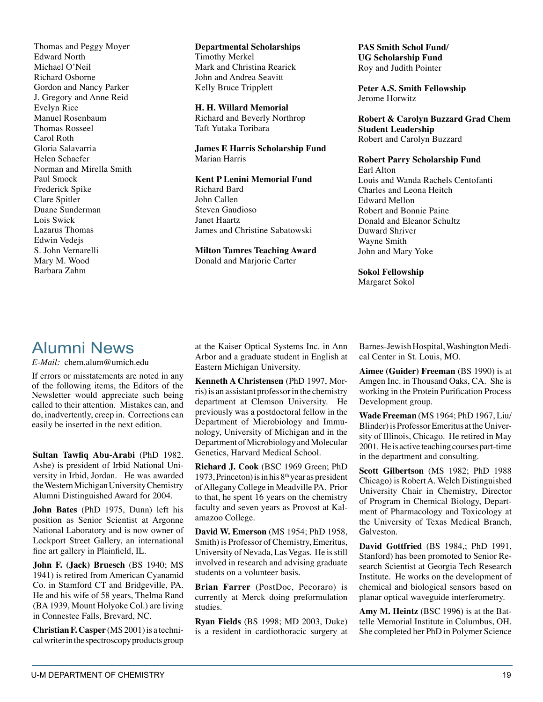Thomas and Peggy Moyer Edward North Michael O'Neil Richard Osborne Gordon and Nancy Parker J. Gregory and Anne Reid Evelyn Rice Manuel Rosenbaum Thomas Rosseel Carol Roth Gloria Salavarria Helen Schaefer Norman and Mirella Smith Paul Smock Frederick Spike Clare Spitler Duane Sunderman Lois Swick Lazarus Thomas Edwin Vedejs S. John Vernarelli Mary M. Wood Barbara Zahm

**Departmental Scholarships** Timothy Merkel Mark and Christina Rearick John and Andrea Seavitt Kelly Bruce Tripplett

**H. H. Willard Memorial** Richard and Beverly Northrop Taft Yutaka Toribara

**James E Harris Scholarship Fund**  Marian Harris

**Kent P Lenini Memorial Fund** Richard Bard John Callen Steven Gaudioso Janet Haartz James and Christine Sabatowski

**Milton Tamres Teaching Award** Donald and Marjorie Carter

**PAS Smith Schol Fund/ UG Scholarship Fund** Roy and Judith Pointer

**Peter A.S. Smith Fellowship** Jerome Horwitz

**Robert & Carolyn Buzzard Grad Chem Student Leadership** Robert and Carolyn Buzzard

#### **Robert Parry Scholarship Fund**

Earl Alton Louis and Wanda Rachels Centofanti Charles and Leona Heitch Edward Mellon Robert and Bonnie Paine Donald and Eleanor Schultz Duward Shriver Wayne Smith John and Mary Yoke

**Sokol Fellowship**

Margaret Sokol

### Alumni News

*E-Mail:* chem.alum@umich.edu

If errors or misstatements are noted in any of the following items, the Editors of the Newsletter would appreciate such being called to their attention. Mistakes can, and do, inadvertently, creep in. Corrections can easily be inserted in the next edition.

**Sultan Tawfiq Abu-Arabi** (PhD 1982. Ashe) is president of Irbid National University in Irbid, Jordan. He was awarded the Western Michigan University Chemistry Alumni Distinguished Award for 2004.

**John Bates** (PhD 1975, Dunn) left his position as Senior Scientist at Argonne National Laboratory and is now owner of Lockport Street Gallery, an international fine art gallery in Plainfield, IL.

**John F. (Jack) Bruesch** (BS 1940; MS 1941) is retired from American Cyanamid Co. in Stamford CT and Bridgeville, PA. He and his wife of 58 years, Thelma Rand (BA 1939, Mount Holyoke Col.) are living in Connestee Falls, Brevard, NC.

**Christian F. Casper** (MS 2001) is a technical writer in the spectroscopy products group

at the Kaiser Optical Systems Inc. in Ann Arbor and a graduate student in English at Eastern Michigan University.

**Kenneth A Christensen** (PhD 1997, Morris) is an assistant professor in the chemistry department at Clemson University. He previously was a postdoctoral fellow in the Department of Microbiology and Immunology, University of Michigan and in the Department of Microbiology and Molecular Genetics, Harvard Medical School.

**Richard J. Cook** (BSC 1969 Green; PhD 1973, Princeton) is in his  $8<sup>th</sup>$  year as president of Allegany College in Meadville PA. Prior to that, he spent 16 years on the chemistry faculty and seven years as Provost at Kalamazoo College.

**David W. Emerson** (MS 1954; PhD 1958, Smith) is Professor of Chemistry, Emeritus, University of Nevada, Las Vegas. He is still involved in research and advising graduate students on a volunteer basis.

**Brian Farrer** (PostDoc, Pecoraro) is currently at Merck doing preformulation studies.

**Ryan Fields** (BS 1998; MD 2003, Duke) is a resident in cardiothoracic surgery at

Barnes-Jewish Hospital, Washington Medical Center in St. Louis, MO.

**Aimee (Guider) Freeman** (BS 1990) is at Amgen Inc. in Thousand Oaks, CA. She is working in the Protein Purification Process Development group.

**Wade Freeman** (MS 1964; PhD 1967, Liu/ Blinder) is Professor Emeritus at the University of Illinois, Chicago. He retired in May 2001. He is active teaching courses part-time in the department and consulting.

**Scott Gilbertson** (MS 1982; PhD 1988 Chicago) is Robert A. Welch Distinguished University Chair in Chemistry, Director of Program in Chemical Biology, Department of Pharmacology and Toxicology at the University of Texas Medical Branch, Galveston.

**David Gottfried** (BS 1984,; PhD 1991, Stanford) has been promoted to Senior Research Scientist at Georgia Tech Research Institute. He works on the development of chemical and biological sensors based on planar optical waveguide interferometry.

**Amy M. Heintz** (BSC 1996) is at the Battelle Memorial Institute in Columbus, OH. She completed her PhD in Polymer Science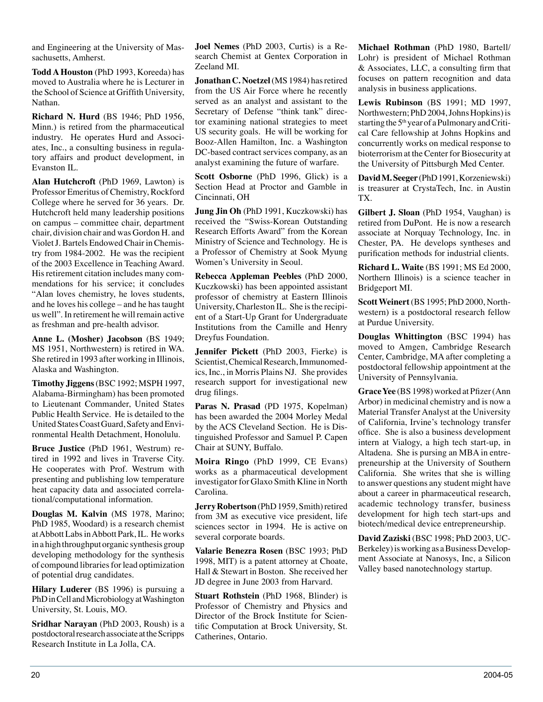and Engineering at the University of Massachusetts, Amherst.

**Todd A Houston** (PhD 1993, Koreeda) has moved to Australia where he is Lecturer in the School of Science at Griffith University, Nathan.

**Richard N. Hurd** (BS 1946; PhD 1956, Minn.) is retired from the pharmaceutical industry. He operates Hurd and Associates, Inc., a consulting business in regulatory affairs and product development, in Evanston IL.

**Alan Hutchcroft** (PhD 1969, Lawton) is Professor Emeritus of Chemistry, Rockford College where he served for 36 years. Dr. Hutchcroft held many leadership positions on campus – committee chair, department chair, division chair and was Gordon H. and Violet J. Bartels Endowed Chair in Chemistry from 1984-2002. He was the recipient of the 2003 Excellence in Teaching Award. His retirement citation includes many commendations for his service; it concludes "Alan loves chemistry, he loves students, and he loves his college – and he has taught us well". In retirement he will remain active as freshman and pre-health advisor.

**Anne L. (Mosher) Jacobson** (BS 1949; MS 1951, Northwestern) is retired in WA. She retired in 1993 after working in Illinois, Alaska and Washington.

**Timothy Jiggens** (BSC 1992; MSPH 1997, Alabama-Birmingham) has been promoted to Lieutenant Commander, United States Public Health Service. He is detailed to the United States Coast Guard, Safety and Environmental Health Detachment, Honolulu.

**Bruce Justice** (PhD 1961, Westrum) retired in 1992 and lives in Traverse City. He cooperates with Prof. Westrum with presenting and publishing low temperature heat capacity data and associated correlational/computational information.

**Douglas M. Kalvin** (MS 1978, Marino; PhD 1985, Woodard) is a research chemist at Abbott Labs in Abbott Park, IL. He works in a high throughput organic synthesis group developing methodology for the synthesis of compound libraries for lead optimization of potential drug candidates.

**Hilary Luderer** (BS 1996) is pursuing a PhD in Cell and Microbiology at Washington University, St. Louis, MO.

**Sridhar Narayan** (PhD 2003, Roush) is a postdoctoral research associate at the Scripps Research Institute in La Jolla, CA.

**Joel Nemes** (PhD 2003, Curtis) is a Research Chemist at Gentex Corporation in Zeeland MI.

**Jonathan C. Noetzel** (MS 1984) has retired from the US Air Force where he recently served as an analyst and assistant to the Secretary of Defense "think tank" director examining national strategies to meet US security goals. He will be working for Booz-Allen Hamilton, Inc. a Washington DC-based contract services company, as an analyst examining the future of warfare.

**Scott Osborne** (PhD 1996, Glick) is a Section Head at Proctor and Gamble in Cincinnati, OH

**Jung Jin Oh** (PhD 1991, Kuczkowski) has received the "Swiss-Korean Outstanding Research Efforts Award" from the Korean Ministry of Science and Technology. He is a Professor of Chemistry at Sook Myung Women's University in Seoul.

**Rebecca Appleman Peebles** (PhD 2000, Kuczkowski) has been appointed assistant professor of chemistry at Eastern Illinois University, Charleston IL. She is the recipient of a Start-Up Grant for Undergraduate Institutions from the Camille and Henry Dreyfus Foundation.

**Jennifer Pickett** (PhD 2003, Fierke) is Scientist, Chemical Research, Immunomedics, Inc., in Morris Plains NJ. She provides research support for investigational new drug filings.

**Paras N. Prasad** (PD 1975, Kopelman) has been awarded the 2004 Morley Medal by the ACS Cleveland Section. He is Distinguished Professor and Samuel P. Capen Chair at SUNY, Buffalo.

**Moira Ringo** (PhD 1999, CE Evans) works as a pharmaceutical development investigator for Glaxo Smith Kline in North Carolina.

**Jerry Robertson** (PhD 1959, Smith) retired from 3M as executive vice president, life sciences sector in 1994. He is active on several corporate boards.

**Valarie Benezra Rosen** (BSC 1993; PhD 1998, MIT) is a patent attorney at Choate, Hall & Stewart in Boston. She received her JD degree in June 2003 from Harvard.

**Stuart Rothstein** (PhD 1968, Blinder) is Professor of Chemistry and Physics and Director of the Brock Institute for Scientific Computation at Brock University, St. Catherines, Ontario.

**Michael Rothman** (PhD 1980, Bartell/ Lohr) is president of Michael Rothman & Associates, LLC, a consulting firm that focuses on pattern recognition and data analysis in business applications.

**Lewis Rubinson** (BS 1991; MD 1997, Northwestern; PhD 2004, Johns Hopkins) is starting the  $5<sup>th</sup>$  year of a Pulmonary and Critical Care fellowship at Johns Hopkins and concurrently works on medical response to bioterrorism at the Center for Biosecurity at the University of Pittsburgh Med Center.

**David M. Seeger** (PhD 1991, Korzeniewski) is treasurer at CrystaTech, Inc. in Austin TX.

**Gilbert J. Sloan** (PhD 1954, Vaughan) is retired from DuPont. He is now a research associate at Norquay Technology, Inc. in Chester, PA. He develops syntheses and purification methods for industrial clients.

**Richard L. Waite** (BS 1991; MS Ed 2000, Northern Illinois) is a science teacher in Bridgeport MI.

**Scott Weinert** (BS 1995; PhD 2000, Northwestern) is a postdoctoral research fellow at Purdue University.

**Douglas Whittington** (BSC 1994) has moved to Amgen, Cambridge Research Center, Cambridge, MA after completing a postdoctoral fellowship appointment at the University of Pennsylvania.

**Grace Yee** (BS 1998) worked at Pfizer (Ann Arbor) in medicinal chemistry and is now a Material Transfer Analyst at the University of California, Irvine's technology transfer office. She is also a business development intern at Vialogy, a high tech start-up, in Altadena. She is pursing an MBA in entrepreneurship at the University of Southern California. She writes that she is willing to answer questions any student might have about a career in pharmaceutical research, academic technology transfer, business development for high tech start-ups and biotech/medical device entrepreneurship.

**David Zaziski** (BSC 1998; PhD 2003, UC-Berkeley) is working as a Business Development Associate at Nanosys, Inc, a Silicon Valley based nanotechnology startup.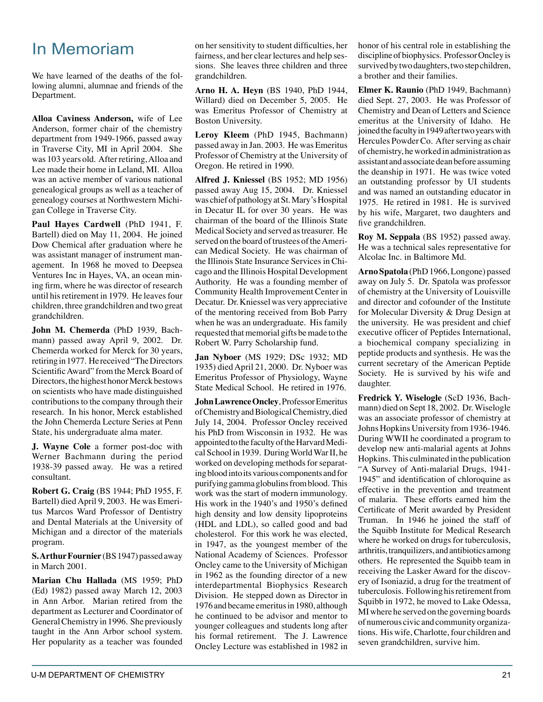# In Memoriam

We have learned of the deaths of the following alumni, alumnae and friends of the Department.

**Alloa Caviness Anderson,** wife of Lee Anderson, former chair of the chemistry department from 1949-1966, passed away in Traverse City, MI in April 2004. She was 103 years old. After retiring, Alloa and Lee made their home in Leland, MI. Alloa was an active member of various national genealogical groups as well as a teacher of genealogy courses at Northwestern Michigan College in Traverse City.

**Paul Hayes Cardwell** (PhD 1941, F. Bartell) died on May 11, 2004. He joined Dow Chemical after graduation where he was assistant manager of instrument management. In 1968 he moved to Deepsea Ventures Inc in Hayes, VA, an ocean mining firm, where he was director of research until his retirement in 1979. He leaves four children, three grandchildren and two great grandchildren.

**John M. Chemerda** (PhD 1939, Bachmann) passed away April 9, 2002. Dr. Chemerda worked for Merck for 30 years, retiring in 1977. He received "The Directors Scientific Award" from the Merck Board of Directors, the highest honor Merck bestows on scientists who have made distinguished contributions to the company through their research. In his honor, Merck established the John Chemerda Lecture Series at Penn State, his undergraduate alma mater.

**J. Wayne Cole** a former post-doc with Werner Bachmann during the period 1938-39 passed away. He was a retired consultant.

**Robert G. Craig** (BS 1944; PhD 1955, F. Bartell) died April 9, 2003. He was Emeritus Marcos Ward Professor of Dentistry and Dental Materials at the University of Michigan and a director of the materials program.

**S. Arthur Fournier** (BS 1947) passed away in March 2001.

**Marian Chu Hallada** (MS 1959; PhD (Ed) 1982) passed away March 12, 2003 in Ann Arbor. Marian retired from the department as Lecturer and Coordinator of General Chemistry in 1996. She previously taught in the Ann Arbor school system. Her popularity as a teacher was founded

on her sensitivity to student difficulties, her fairness, and her clear lectures and help sessions. She leaves three children and three grandchildren.

**Arno H. A. Heyn** (BS 1940, PhD 1944, Willard) died on December 5, 2005. He was Emeritus Professor of Chemistry at Boston University.

**Leroy Kleem** (PhD 1945, Bachmann) passed away in Jan. 2003. He was Emeritus Professor of Chemistry at the University of Oregon. He retired in 1990.

**Alfred J. Kniessel** (BS 1952; MD 1956) passed away Aug 15, 2004. Dr. Kniessel was chief of pathology at St. Mary's Hospital in Decatur IL for over 30 years. He was chairman of the board of the Illinois State Medical Society and served as treasurer. He served on the board of trustees of the American Medical Society. He was chairman of the Illinois State Insurance Services in Chicago and the Illinois Hospital Development Authority. He was a founding member of Community Health Improvement Center in Decatur. Dr. Kniessel was very appreciative of the mentoring received from Bob Parry when he was an undergraduate. His family requested that memorial gifts be made to the Robert W. Parry Scholarship fund.

**Jan Nyboer** (MS 1929; DSc 1932; MD 1935) died April 21, 2000. Dr. Nyboer was Emeritus Professor of Physiology, Wayne State Medical School. He retired in 1976.

**John Lawrence Oncley**, Professor Emeritus of Chemistry and Biological Chemistry, died July 14, 2004. Professor Oncley received his PhD from Wisconsin in 1932. He was appointed to the faculty of the Harvard Medical School in 1939. During World War II, he worked on developing methods for separating blood into its various components and for purifying gamma globulins from blood. This work was the start of modern immunology. His work in the 1940's and 1950's defined high density and low density lipoproteins (HDL and LDL), so called good and bad cholesterol. For this work he was elected, in 1947, as the youngest member of the National Academy of Sciences. Professor Oncley came to the University of Michigan in 1962 as the founding director of a new interdepartmental Biophysics Research Division. He stepped down as Director in 1976 and became emeritus in 1980, although he continued to be advisor and mentor to younger colleagues and students long after his formal retirement. The J. Lawrence Oncley Lecture was established in 1982 in

U-M DEPARTMENT OF CHEMISTRY 21

honor of his central role in establishing the discipline of biophysics. Professor Oncley is survived by two daughters, two step children, a brother and their families.

**Elmer K. Raunio** (PhD 1949, Bachmann) died Sept. 27, 2003. He was Professor of Chemistry and Dean of Letters and Science emeritus at the University of Idaho. He joined the faculty in 1949 after two years with Hercules Powder Co. After serving as chair of chemistry, he worked in administration as assistant and associate dean before assuming the deanship in 1971. He was twice voted an outstanding professor by UI students and was named an outstanding educator in 1975. He retired in 1981. He is survived by his wife, Margaret, two daughters and five grandchildren.

**Roy M. Seppala** (BS 1952) passed away. He was a technical sales representative for Alcolac Inc. in Baltimore Md.

**Arno Spatola** (PhD 1966, Longone) passed away on July 5. Dr. Spatola was professor of chemistry at the University of Louisville and director and cofounder of the Institute for Molecular Diversity & Drug Design at the university. He was president and chief executive officer of Peptides International, a biochemical company specializing in peptide products and synthesis. He was the current secretary of the American Peptide Society. He is survived by his wife and daughter.

**Fredrick Y. Wiselogle** (ScD 1936, Bachmann) died on Sept 18, 2002. Dr. Wiselogle was an associate professor of chemistry at Johns Hopkins University from 1936-1946. During WWII he coordinated a program to develop new anti-malarial agents at Johns Hopkins. This culminated in the publication "A Survey of Anti-malarial Drugs, 1941- 1945" and identification of chloroquine as effective in the prevention and treatment of malaria. These efforts earned him the Certificate of Merit awarded by President Truman. In 1946 he joined the staff of the Squibb Institute for Medical Research where he worked on drugs for tuberculosis, arthritis, tranquilizers, and antibiotics among others. He represented the Squibb team in receiving the Lasker Award for the discovery of Isoniazid, a drug for the treatment of tuberculosis. Following his retirement from Squibb in 1972, he moved to Lake Odessa, MI where he served on the governing boards of numerous civic and community organizations. His wife, Charlotte, four children and seven grandchildren, survive him.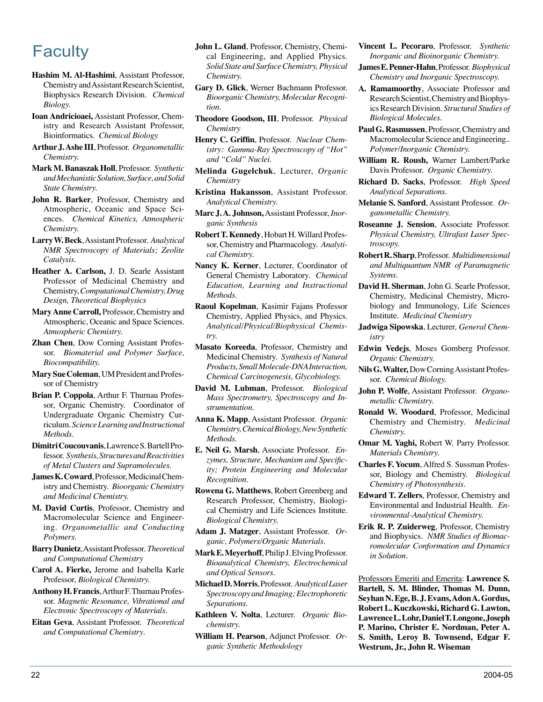- **Hashim M. Al-Hashimi**, Assistant Professor, Chemistry and Assistant Research Scientist, Biophysics Research Division. *Chemical Biology.*
- **Ioan Andricioaei,** Assistant Professor, Chemistry and Research Assistant Professor, Bioinformatics. *Chemical Biology*
- **Arthur J. Ashe III**, Professor. *Organometallic Chemistry.*
- **Mark M. Banaszak Holl**, Professor. *Synthetic and Mechanistic Solution, Surface, and Solid State Chemistry.*
- **John R. Barker**, Professor, Chemistry and Atmospheric, Oceanic and Space Sciences*. Chemical Kinetics, Atmospheric Chemistry.*
- **Larry W. Beck**, Assistant Professor. *Analytical NMR Spectroscopy of Materials; Zeolite Catalysis.*
- **Heather A. Carlson,** J. D. Searle Assistant Professor of Medicinal Chemistry and Chemistry, *Computational Chemistry, Drug Design, Theoretical Biophysics*
- **Mary Anne Carroll,** Professor, Chemistry and Atmospheric, Oceanic and Space Sciences. *Atmospheric Chemistry.*
- **Zhan Chen**, Dow Corning Assistant Professor. *Biomaterial and Polymer Surface, Biocompatibility.*
- **Mary Sue Coleman**, UM President and Professor of Chemistry
- **Brian P. Coppola**, Arthur F. Thurnau Professor, Organic Chemistry. Coordinator of Undergraduate Organic Chemistry Curriculum. *Science Learning and Instructional Methods.*
- **Dimitri Coucouvanis**, Lawrence S. Bartell Professor. *Synthesis, Structures and Reactivities of Metal Clusters and Supramolecules.*
- **James K. Coward**, Professor, Medicinal Chemistry and Chemistry. *Bioorganic Chemistry and Medicinal Chemistry.*
- **M. David Curtis**, Professor, Chemistry and Macromolecular Science and Engineering. *Organometallic and Conducting Polymers.*
- **Barry Dunietz**, Assistant Professor. *Theoretical and Computational Chemistry*
- **Carol A. Fierke,** Jerome and Isabella Karle Professor, *Biological Chemistry.*
- **Anthony H. Francis**, Arthur F. Thurnau Professor. *Magnetic Resonance, Vibrational and Electronic Spectroscopy of Materials.*
- **Eitan Geva**, Assistant Professor. *Theoretical and Computational Chemistry*.
- **John L. Gland**, Professor, Chemistry, Chemical Engineering, and Applied Physics. *Solid State and Surface Chemistry, Physical Chemistry.*
- **Gary D. Glick**, Werner Bachmann Professor. *Bioorganic Chemistry, Molecular Recognition.*
- **Theodore Goodson, III**, Professor. *Physical Chemistry*
- **Henry C. Griffin**, Professor. *Nuclear Chemistry: Gamma-Ray Spectroscopy of "Hot" and "Cold" Nuclei.*
- **Melinda Gugelchuk**, Lecturer, *Organic Chemistry*
- **Kristina Hakansson**, Assistant Professor. *Analytical Chemistry.*
- **Marc J. A. Johnson,** Assistant Professor, *Inorganic Synthesis*
- **Robert T. Kennedy**, Hobart H. Willard Professor, Chemistry and Pharmacology. *Analytical Chemistry.*
- **Nancy K. Kerner**, Lecturer, Coordinator of General Chemistry Laboratory. *Chemical Education, Learning and Instructional Methods.*
- **Raoul Kopelman**, Kasimir Fajans Professor Chemistry, Applied Physics, and Physics. *Analytical/Physical/Biophysical Chemistry.*
- **Masato Koreeda**, Professor, Chemistry and Medicinal Chemistry. *Synthesis of Natural Products, Small Molecule-DNA Interaction, Chemical Carcinogenesis, Glycobiology.*
- **David M. Lubman**, Professor. *Biological Mass Spectrometry, Spectroscopy and Instrumentation.*
- **Anna K. Mapp**, Assistant Professor. *Organic Chemistry, Chemical Biology, New Synthetic Methods*.
- **E. Neil G. Marsh**, Associate Professor. *Enzymes, Structure, Mechanism and Specificity; Protein Engineering and Molecular Recognition.*
- **Rowena G. Matthews**, Robert Greenberg and Research Professor, Chemistry, Biological Chemistry and Life Sciences Institute. *Biological Chemistry.*
- **Adam J. Matzger**, Assistant Professor. *Organic, Polymers/Organic Materials*.
- **Mark E. Meyerhoff**, Philip J. Elving Professor. *Bioanalytical Chemistry, Electrochemical and Optical Sensors.*
- **Michael D. Morris**, Professor. *Analytical Laser Spectroscopy and Imaging; Electrophoretic Separations.*
- **Kathleen V. Nolta**, Lecturer. *Organic Biochemistry.*
- **William H. Pearson**, Adjunct Professor. *Organic Synthetic Methodology*
- **Faculty John L. Gland**, Professor, Chemistry, Chemi-<br> **Vincent L. Pecoraro**, Professor. Synthetic cal Engineering. and Applied Physics. *Inorganic and Bioinorganic Chemistry*. *Inorganic and Bioinorganic Chemistry.*
	- **James E***.* **Penner-Hahn**, Professor. *Biophysical Chemistry and Inorganic Spectroscopy.*
	- **A. Ramamoorthy**, Associate Professor and Research Scientist, Chemistry and Biophysics Research Division. *Structural Studies of Biological Molecules.*
	- **Paul G. Rasmussen**, Professor, Chemistry and Macromolecular Science and Engineering.. *Polymer/Inorganic Chemistry.*
	- **William R. Roush,** Warner Lambert/Parke Davis Professor. *Organic Chemistry.*
	- **Richard D. Sacks**, Professor. *High Speed Analytical Separations.*
	- **Melanie S. Sanford**, Assistant Professor. *Organometallic Chemistry.*
	- **Roseanne J. Sension**, Associate Professor. *Physical Chemistry, Ultrafast Laser Spectroscopy.*
	- **Robert R. Sharp**, Professor. *Multidimensional and Multiquantum NMR of Paramagnetic Systems.*
	- **David H. Sherman**, John G. Searle Professor, Chemistry, Medicinal Chemistry, Microbiology and Immunology, Life Sciences Institute. *Medicinal Chemistry*
	- **Jadwiga Sipowska**, Lecturer*, General Chemistry*
	- **Edwin Vedejs**, Moses Gomberg Professor. *Organic Chemistry.*
	- **Nils G. Walter,** Dow Corning Assistant Professor. *Chemical Biology.*
	- **John P. Wolfe**, Assistant Professor. *Organometallic Chemistry.*
	- **Ronald W. Woodard**, Professor, Medicinal Chemistry and Chemistry. *Medicinal Chemistry.*
	- **Omar M. Yaghi,** Robert W. Parry Professor. *Materials Chemistry.*
	- **Charles F. Yocum**, Alfred S. Sussman Professor, Biology and Chemistry. *Biological Chemistry of Photosynthesis.*
	- **Edward T. Zellers**, Professor, Chemistry and Environmental and Industrial Health. *Environmental-Analytical Chemistry.*
	- **Erik R. P. Zuiderweg**, Professor, Chemistry and Biophysics. *NMR Studies of Biomacromolecular Conformation and Dynamics in Solution.*

Professors Emeriti and Emerita: **Lawrence S. Bartell, S. M. Blinder, Thomas M. Dunn, Seyhan N. Ege, B. J. Evans, Adon A. Gordus, Robert L. Kuczkowski, Richard G. Lawton, Lawrence L. Lohr, Daniel T. Longone, Joseph P. Marino, Christer E. Nordman, Peter A. S. Smith, Leroy B. Townsend, Edgar F. Westrum, Jr., John R. Wiseman**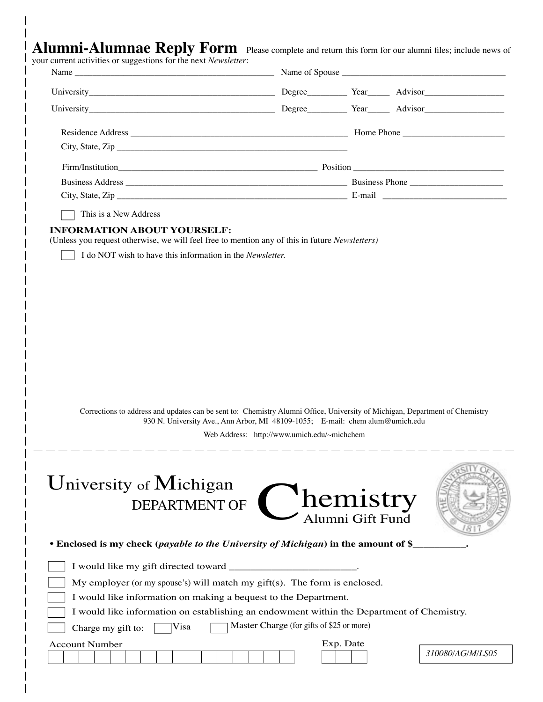|                                                                                                                |  | $\bf{Alumni}\text{-}Alumnae \textbf{ } \textbf{Reply Form} \textbf{ }$ Please complete and return this form for our alumni files; include news of |
|----------------------------------------------------------------------------------------------------------------|--|---------------------------------------------------------------------------------------------------------------------------------------------------|
| restricted the contract of the contract of the contract of the contract of the contract of the contract of the |  |                                                                                                                                                   |

| your current activities or suggestions for the next <i>Newsletter</i> : |  |  |  |
|-------------------------------------------------------------------------|--|--|--|
|-------------------------------------------------------------------------|--|--|--|

| This is a New Address                                                                                                                                                                                        |                                             |                  |                  |
|--------------------------------------------------------------------------------------------------------------------------------------------------------------------------------------------------------------|---------------------------------------------|------------------|------------------|
|                                                                                                                                                                                                              |                                             |                  |                  |
|                                                                                                                                                                                                              |                                             |                  |                  |
| Corrections to address and updates can be sent to: Chemistry Alumni Office, University of Michigan, Department of Chemistry<br>930 N. University Ave., Ann Arbor, MI 48109-1055; E-mail: chem alum@umich.edu | Web Address: http://www.umich.edu/~michchem |                  |                  |
| <b>DEPARTMENT OF</b>                                                                                                                                                                                         | l lemistry                                  | Alumni Gift Fund |                  |
|                                                                                                                                                                                                              |                                             |                  |                  |
|                                                                                                                                                                                                              |                                             |                  |                  |
| My employer (or my spouse's) will match my gift(s). The form is enclosed.                                                                                                                                    |                                             |                  |                  |
| University of Michigan<br>• Enclosed is my check (payable to the University of Michigan) in the amount of \$<br>I would like information on making a bequest to the Department.                              |                                             |                  |                  |
| I would like information on establishing an endowment within the Department of Chemistry.                                                                                                                    |                                             |                  |                  |
| Visa<br>Charge my gift to:                                                                                                                                                                                   | Master Charge (for gifts of \$25 or more)   |                  |                  |
| <b>Account Number</b>                                                                                                                                                                                        |                                             | Exp. Date        | 310080/AG/M/LS05 |